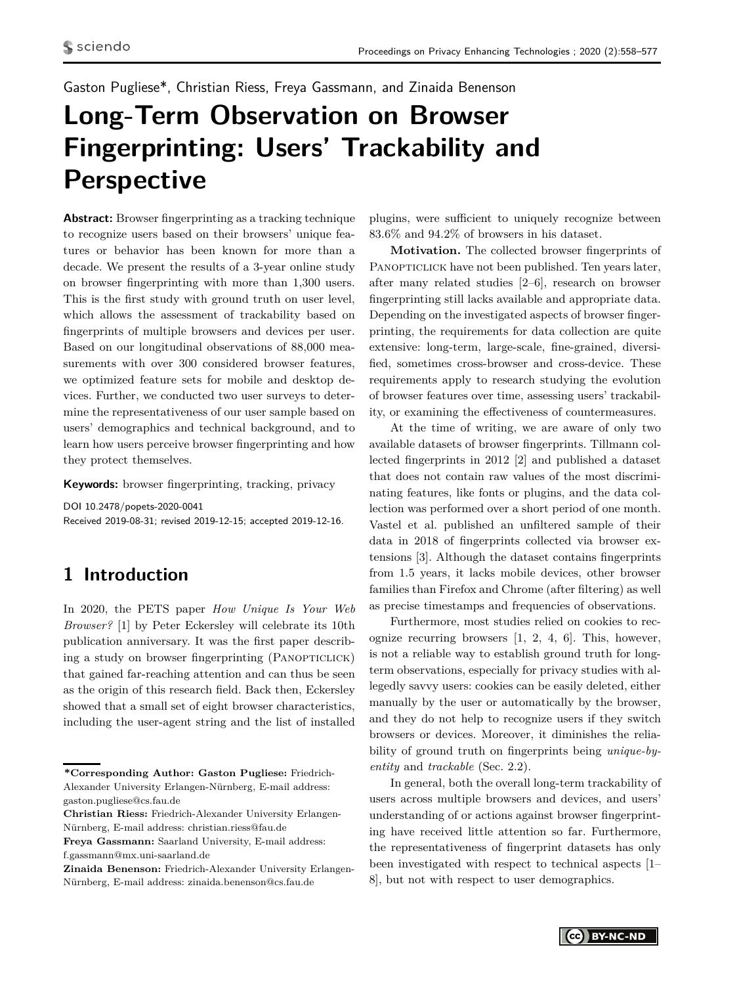<span id="page-0-0"></span>Gaston Pugliese\*, Christian Riess, Freya Gassmann, and Zinaida Benenson

# **Long-Term Observation on Browser Fingerprinting: Users' Trackability and Perspective**

**Abstract:** Browser fingerprinting as a tracking technique to recognize users based on their browsers' unique features or behavior has been known for more than a decade. We present the results of a 3-year online study on browser fingerprinting with more than 1,300 users. This is the first study with ground truth on user level, which allows the assessment of trackability based on fingerprints of multiple browsers and devices per user. Based on our longitudinal observations of 88,000 measurements with over 300 considered browser features, we optimized feature sets for mobile and desktop devices. Further, we conducted two user surveys to determine the representativeness of our user sample based on users' demographics and technical background, and to learn how users perceive browser fingerprinting and how they protect themselves.

**Keywords:** browser fingerprinting, tracking, privacy

DOI 10.2478/popets-2020-0041 Received 2019-08-31; revised 2019-12-15; accepted 2019-12-16.

# <span id="page-0-1"></span>**1 Introduction**

In 2020, the PETS paper *How Unique Is Your Web Browser?* [\[1\]](#page-16-0) by Peter Eckersley will celebrate its 10th publication anniversary. It was the first paper describing a study on browser fingerprinting (PANOPTICLICK) that gained far-reaching attention and can thus be seen as the origin of this research field. Back then, Eckersley showed that a small set of eight browser characteristics, including the user-agent string and the list of installed

**Freya Gassmann:** Saarland University, E-mail address: f.gassmann@mx.uni-saarland.de

plugins, were sufficient to uniquely recognize between 83.6% and 94.2% of browsers in his dataset.

**Motivation.** The collected browser fingerprints of PANOPTICLICK have not been published. Ten years later, after many related studies [\[2–](#page-16-1)[6\]](#page-16-2), research on browser fingerprinting still lacks available and appropriate data. Depending on the investigated aspects of browser fingerprinting, the requirements for data collection are quite extensive: long-term, large-scale, fine-grained, diversified, sometimes cross-browser and cross-device. These requirements apply to research studying the evolution of browser features over time, assessing users' trackability, or examining the effectiveness of countermeasures.

At the time of writing, we are aware of only two available datasets of browser fingerprints. Tillmann collected fingerprints in 2012 [\[2\]](#page-16-1) and published a dataset that does not contain raw values of the most discriminating features, like fonts or plugins, and the data collection was performed over a short period of one month. Vastel et al. published an unfiltered sample of their data in 2018 of fingerprints collected via browser extensions [\[3\]](#page-16-3). Although the dataset contains fingerprints from 1.5 years, it lacks mobile devices, other browser families than Firefox and Chrome (after filtering) as well as precise timestamps and frequencies of observations.

Furthermore, most studies relied on cookies to recognize recurring browsers [\[1,](#page-16-0) [2,](#page-16-1) [4,](#page-16-4) [6\]](#page-16-2). This, however, is not a reliable way to establish ground truth for longterm observations, especially for privacy studies with allegedly savvy users: cookies can be easily deleted, either manually by the user or automatically by the browser, and they do not help to recognize users if they switch browsers or devices. Moreover, it diminishes the reliability of ground truth on fingerprints being *unique-byentity* and *trackable* (Sec. [2.2\)](#page-2-0).

In general, both the overall long-term trackability of users across multiple browsers and devices, and users' understanding of or actions against browser fingerprinting have received little attention so far. Furthermore, the representativeness of fingerprint datasets has only been investigated with respect to technical aspects [\[1–](#page-16-0) [8\]](#page-16-5), but not with respect to user demographics.

**<sup>\*</sup>Corresponding Author: Gaston Pugliese:** Friedrich-Alexander University Erlangen-Nürnberg, E-mail address: gaston.pugliese@cs.fau.de

**Christian Riess:** Friedrich-Alexander University Erlangen-Nürnberg, E-mail address: christian.riess@fau.de

**Zinaida Benenson:** Friedrich-Alexander University Erlangen-Nürnberg, E-mail address: zinaida.benenson@cs.fau.de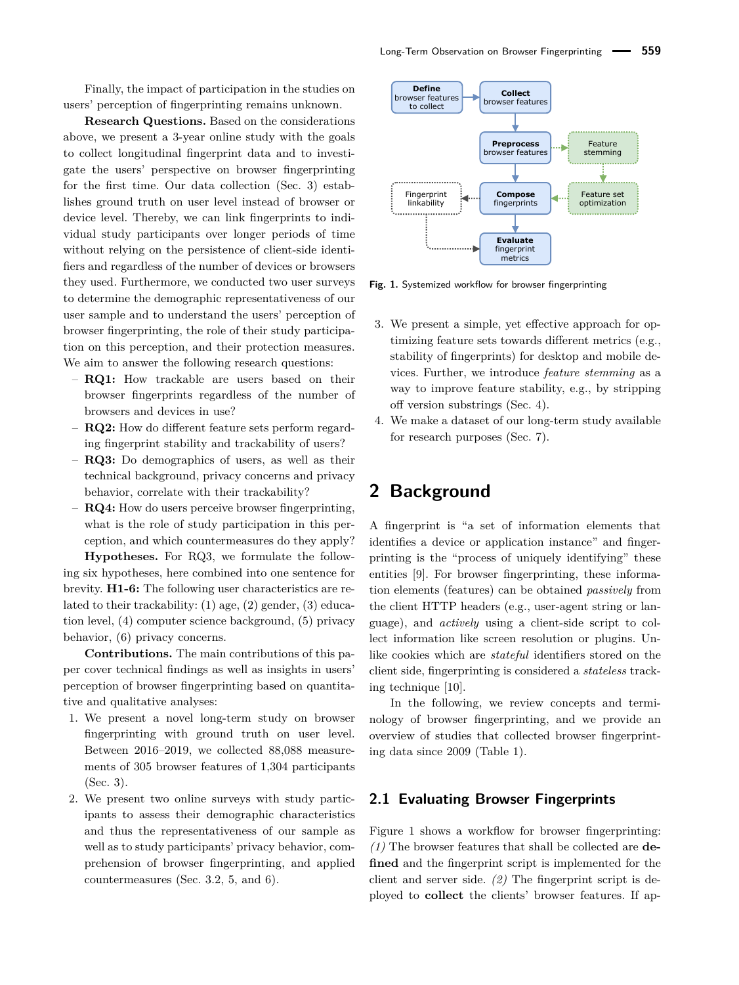Finally, the impact of participation in the studies on users' perception of fingerprinting remains unknown.

**Research Questions.** Based on the considerations above, we present a 3-year online study with the goals to collect longitudinal fingerprint data and to investigate the users' perspective on browser fingerprinting for the first time. Our data collection (Sec. [3\)](#page-4-0) establishes ground truth on user level instead of browser or device level. Thereby, we can link fingerprints to individual study participants over longer periods of time without relying on the persistence of client-side identifiers and regardless of the number of devices or browsers they used. Furthermore, we conducted two user surveys to determine the demographic representativeness of our user sample and to understand the users' perception of browser fingerprinting, the role of their study participation on this perception, and their protection measures. We aim to answer the following research questions:

- **RQ1:** How trackable are users based on their browser fingerprints regardless of the number of browsers and devices in use?
- **RQ2:** How do different feature sets perform regarding fingerprint stability and trackability of users?
- **RQ3:** Do demographics of users, as well as their technical background, privacy concerns and privacy behavior, correlate with their trackability?
- **RQ4:** How do users perceive browser fingerprinting, what is the role of study participation in this perception, and which countermeasures do they apply?

**Hypotheses.** For RQ3, we formulate the following six hypotheses, here combined into one sentence for brevity. **H1-6:** The following user characteristics are related to their trackability: (1) age, (2) gender, (3) education level, (4) computer science background, (5) privacy behavior, (6) privacy concerns.

**Contributions.** The main contributions of this paper cover technical findings as well as insights in users' perception of browser fingerprinting based on quantitative and qualitative analyses:

- 1. We present a novel long-term study on browser fingerprinting with ground truth on user level. Between 2016–2019, we collected 88,088 measurements of 305 browser features of 1,304 participants (Sec. [3\)](#page-4-0).
- 2. We present two online surveys with study participants to assess their demographic characteristics and thus the representativeness of our sample as well as to study participants' privacy behavior, comprehension of browser fingerprinting, and applied countermeasures (Sec. [3.2,](#page-6-0) [5,](#page-9-0) and [6\)](#page-11-0).

<span id="page-1-0"></span>

**Fig. 1.** Systemized workflow for browser fingerprinting

- 3. We present a simple, yet effective approach for optimizing feature sets towards different metrics (e.g., stability of fingerprints) for desktop and mobile devices. Further, we introduce *feature stemming* as a way to improve feature stability, e.g., by stripping off version substrings (Sec. [4\)](#page-6-1).
- 4. We make a dataset of our long-term study available for research purposes (Sec. [7\)](#page-14-0).

## <span id="page-1-1"></span>**2 Background**

A fingerprint is "a set of information elements that identifies a device or application instance" and fingerprinting is the "process of uniquely identifying" these entities [\[9\]](#page-16-6). For browser fingerprinting, these information elements (features) can be obtained *passively* from the client HTTP headers (e.g., user-agent string or language), and *actively* using a client-side script to collect information like screen resolution or plugins. Unlike cookies which are *stateful* identifiers stored on the client side, fingerprinting is considered a *stateless* tracking technique [\[10\]](#page-16-7).

In the following, we review concepts and terminology of browser fingerprinting, and we provide an overview of studies that collected browser fingerprinting data since 2009 (Table [1\)](#page-3-0).

### **2.1 Evaluating Browser Fingerprints**

[Figure 1](#page-1-0) shows a workflow for browser fingerprinting: *(1)* The browser features that shall be collected are **defined** and the fingerprint script is implemented for the client and server side. *(2)* The fingerprint script is deployed to **collect** the clients' browser features. If ap-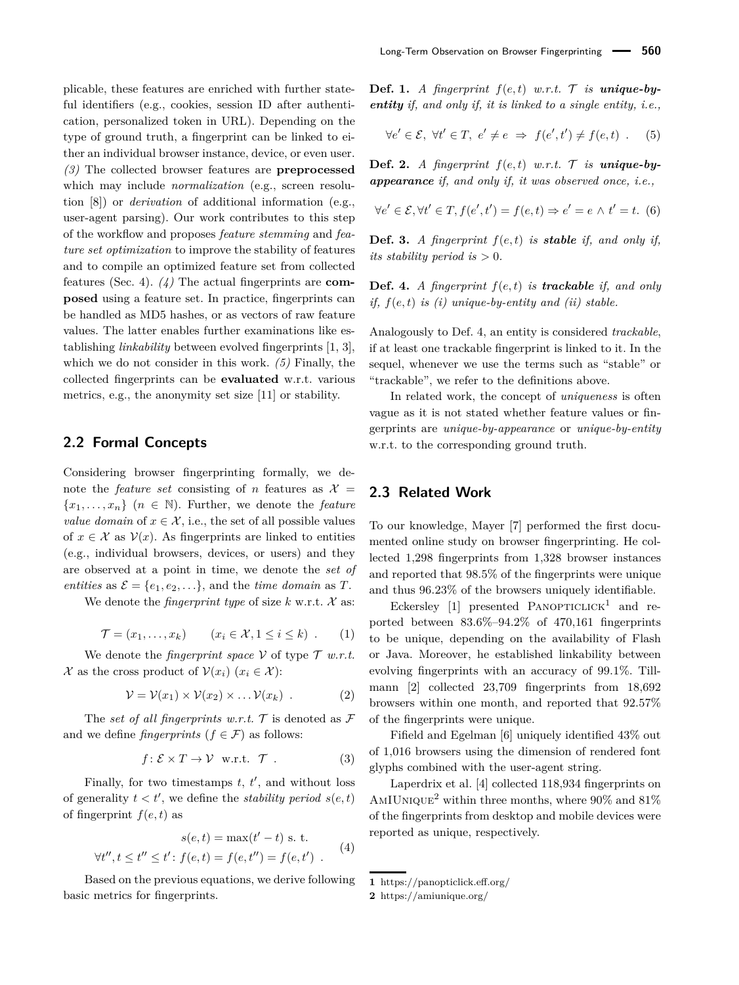plicable, these features are enriched with further stateful identifiers (e.g., cookies, session ID after authentication, personalized token in URL). Depending on the type of ground truth, a fingerprint can be linked to either an individual browser instance, device, or even user. *(3)* The collected browser features are **preprocessed** which may include *normalization* (e.g., screen resolution [\[8\]](#page-16-5)) or *derivation* of additional information (e.g., user-agent parsing). Our work contributes to this step of the workflow and proposes *feature stemming* and *feature set optimization* to improve the stability of features and to compile an optimized feature set from collected features (Sec. [4\)](#page-6-1). *(4)* The actual fingerprints are **composed** using a feature set. In practice, fingerprints can be handled as MD5 hashes, or as vectors of raw feature values. The latter enables further examinations like establishing *linkability* between evolved fingerprints [\[1,](#page-16-0) [3\]](#page-16-3), which we do not consider in this work. *(5)* Finally, the collected fingerprints can be **evaluated** w.r.t. various metrics, e.g., the anonymity set size [\[11\]](#page-16-8) or stability.

### <span id="page-2-0"></span>**2.2 Formal Concepts**

Considering browser fingerprinting formally, we denote the *feature set* consisting of *n* features as  $\mathcal{X} =$  ${x_1, \ldots, x_n}$  ( $n \in \mathbb{N}$ ). Further, we denote the *feature value domain* of  $x \in \mathcal{X}$ , i.e., the set of all possible values of  $x \in \mathcal{X}$  as  $\mathcal{V}(x)$ . As fingerprints are linked to entities (e.g., individual browsers, devices, or users) and they are observed at a point in time, we denote the *set of entities* as  $\mathcal{E} = \{e_1, e_2, \ldots\}$ , and the *time domain* as *T*.

We denote the *fingerprint type* of size  $k$  w.r.t.  $\mathcal{X}$  as:

$$
\mathcal{T} = (x_1, \dots, x_k) \qquad (x_i \in \mathcal{X}, 1 \le i \le k) \tag{1}
$$

We denote the *fingerprint space*  $V$  of type  $T$  *w.r.t.* X as the cross product of  $V(x_i)$  ( $x_i \in \mathcal{X}$ ):

$$
\mathcal{V} = \mathcal{V}(x_1) \times \mathcal{V}(x_2) \times \dots \mathcal{V}(x_k) \tag{2}
$$

The *set of all fingerprints w.r.t.*  $\mathcal T$  is denoted as  $\mathcal F$ and we define *fingerprints* ( $f \in \mathcal{F}$ ) as follows:

<span id="page-2-2"></span>
$$
f: \mathcal{E} \times T \to \mathcal{V} \quad \text{w.r.t.} \quad \mathcal{T} \quad . \tag{3}
$$

Finally, for two timestamps  $t, t'$ , and without loss of generality  $t < t'$ , we define the *stability period*  $s(e, t)$ of fingerprint  $f(e, t)$  as

$$
s(e, t) = \max(t' - t) \text{ s. t.}
$$
  

$$
\forall t'', t \le t'' \le t' : f(e, t) = f(e, t'') = f(e, t') .
$$
 (4)

Based on the previous equations, we derive following basic metrics for fingerprints.

**Def. 1.** *A* fingerprint  $f(e,t)$  *w.r.t.*  $\mathcal{T}$  *is* **unique-by***entity if, and only if, it is linked to a single entity, i.e.,*

$$
\forall e' \in \mathcal{E}, \ \forall t' \in T, \ e' \neq e \ \Rightarrow \ f(e', t') \neq f(e, t) \ . \tag{5}
$$

**Def. 2.** *A* fingerprint  $f(e, t)$  w.r.t.  $\mathcal{T}$  is **unique-by***appearance if, and only if, it was observed once, i.e.,*

$$
\forall e' \in \mathcal{E}, \forall t' \in T, f(e', t') = f(e, t) \Rightarrow e' = e \land t' = t. \tag{6}
$$

**Def. 3.** *A fingerprint f*(*e, t*) *is stable if, and only if, its stability period is*  $> 0$ *.* 

<span id="page-2-1"></span>**Def. 4.** *A fingerprint f*(*e, t*) *is trackable if, and only if, f*(*e, t*) *is (i) unique-by-entity and (ii) stable.*

Analogously to Def. [4,](#page-2-1) an entity is considered *trackable*, if at least one trackable fingerprint is linked to it. In the sequel, whenever we use the terms such as "stable" or "trackable", we refer to the definitions above.

In related work, the concept of *uniqueness* is often vague as it is not stated whether feature values or fingerprints are *unique-by-appearance* or *unique-by-entity* w.r.t. to the corresponding ground truth.

### **2.3 Related Work**

To our knowledge, Mayer [\[7\]](#page-16-9) performed the first documented online study on browser fingerprinting. He collected 1,298 fingerprints from 1,328 browser instances and reported that 98.5% of the fingerprints were unique and thus 96.23% of the browsers uniquely identifiable.

Eckersley [\[1\]](#page-16-0) presented  $PANOPTICLICK<sup>1</sup>$  $PANOPTICLICK<sup>1</sup>$  $PANOPTICLICK<sup>1</sup>$  and reported between 83.6%–94.2% of 470,161 fingerprints to be unique, depending on the availability of Flash or Java. Moreover, he established linkability between evolving fingerprints with an accuracy of 99.1%. Tillmann [\[2\]](#page-16-1) collected 23,709 fingerprints from 18,692 browsers within one month, and reported that 92.57% of the fingerprints were unique.

Fifield and Egelman [\[6\]](#page-16-2) uniquely identified 43% out of 1,016 browsers using the dimension of rendered font glyphs combined with the user-agent string.

Laperdrix et al. [\[4\]](#page-16-4) collected 118,934 fingerprints on AMIUNIQUE<sup>[2](#page-0-0)</sup> within three months, where  $90\%$  and  $81\%$ of the fingerprints from desktop and mobile devices were reported as unique, respectively.

**<sup>1</sup>** <https://panopticlick.eff.org/>

**<sup>2</sup>** <https://amiunique.org/>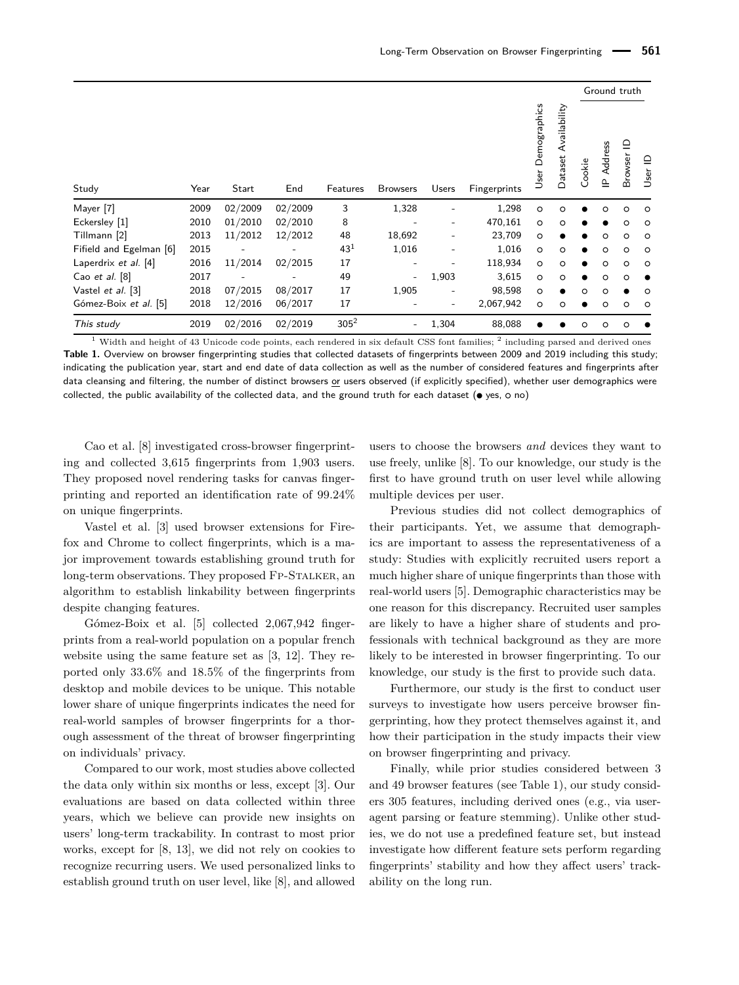<span id="page-3-0"></span>

|                         |      |         |         |                 |                 |                          |              | Ground truth      |                         |         |                                                      |              |         |
|-------------------------|------|---------|---------|-----------------|-----------------|--------------------------|--------------|-------------------|-------------------------|---------|------------------------------------------------------|--------------|---------|
| Study                   | Year | Start   | End     | Features        | <b>Browsers</b> | Users                    | Fingerprints | User Demographics | Availability<br>Dataset | Cookie  | Address<br>$\mathbf{\underline{\underline{\alpha}}}$ | ≘<br>Browser |         |
| Mayer [7]               | 2009 | 02/2009 | 02/2009 | 3               | 1,328           |                          | 1,298        | $\circ$           | O                       |         | o                                                    | $\circ$      | $\circ$ |
| Eckersley [1]           | 2010 | 01/2010 | 02/2010 | 8               |                 |                          | 470,161      | $\circ$           | $\circ$                 |         |                                                      | $\circ$      | $\circ$ |
| Tillmann [2]            | 2013 | 11/2012 | 12/2012 | 48              | 18,692          |                          | 23,709       | $\circ$           |                         |         | o                                                    | $\circ$      | $\circ$ |
| Fifield and Egelman [6] | 2015 |         |         | 43 <sup>1</sup> | 1,016           |                          | 1,016        | $\circ$           | $\circ$                 | ●       | o                                                    | $\circ$      | $\circ$ |
| Laperdrix et al. [4]    | 2016 | 11/2014 | 02/2015 | 17              |                 |                          | 118,934      | $\circ$           | $\circ$                 |         | o                                                    | $\circ$      | $\circ$ |
| Cao et al. $[8]$        | 2017 |         |         | 49              |                 | 1,903                    | 3,615        | $\circ$           | $\circ$                 |         | o                                                    | $\circ$      |         |
| Vastel et al. [3]       | 2018 | 07/2015 | 08/2017 | 17              | 1,905           |                          | 98,598       | $\circ$           | $\bullet$               | $\circ$ | o                                                    |              | $\circ$ |
| Gómez-Boix et al. [5]   | 2018 | 12/2016 | 06/2017 | 17              |                 | $\overline{\phantom{a}}$ | 2,067,942    | $\circ$           | $\circ$                 |         | o                                                    | $\circ$      | $\circ$ |
| This study              | 2019 | 02/2016 | 02/2019 | $305^2$         | ۰               | 1,304                    | 88,088       |                   |                         | $\circ$ | o                                                    | $\circ$      |         |

 $1$  Width and height of 43 Unicode code points, each rendered in six default CSS font families;  $2$  including parsed and derived ones **Table 1.** Overview on browser fingerprinting studies that collected datasets of fingerprints between 2009 and 2019 including this study; indicating the publication year, start and end date of data collection as well as the number of considered features and fingerprints after data cleansing and filtering, the number of distinct browsers or users observed (if explicitly specified), whether user demographics were collected, the public availability of the collected data, and the ground truth for each dataset ( $\bullet$  yes,  $\circ$  no)

Cao et al. [\[8\]](#page-16-5) investigated cross-browser fingerprinting and collected 3,615 fingerprints from 1,903 users. They proposed novel rendering tasks for canvas fingerprinting and reported an identification rate of 99.24% on unique fingerprints.

Vastel et al. [\[3\]](#page-16-3) used browser extensions for Firefox and Chrome to collect fingerprints, which is a major improvement towards establishing ground truth for long-term observations. They proposed FP-STALKER, an algorithm to establish linkability between fingerprints despite changing features.

Gómez-Boix et al. [\[5\]](#page-16-10) collected 2,067,942 fingerprints from a real-world population on a popular french website using the same feature set as [\[3,](#page-16-3) [12\]](#page-16-11). They reported only 33.6% and 18.5% of the fingerprints from desktop and mobile devices to be unique. This notable lower share of unique fingerprints indicates the need for real-world samples of browser fingerprints for a thorough assessment of the threat of browser fingerprinting on individuals' privacy.

Compared to our work, most studies above collected the data only within six months or less, except [\[3\]](#page-16-3). Our evaluations are based on data collected within three years, which we believe can provide new insights on users' long-term trackability. In contrast to most prior works, except for [\[8,](#page-16-5) [13\]](#page-16-12), we did not rely on cookies to recognize recurring users. We used personalized links to establish ground truth on user level, like [\[8\]](#page-16-5), and allowed

users to choose the browsers *and* devices they want to use freely, unlike [\[8\]](#page-16-5). To our knowledge, our study is the first to have ground truth on user level while allowing multiple devices per user.

Previous studies did not collect demographics of their participants. Yet, we assume that demographics are important to assess the representativeness of a study: Studies with explicitly recruited users report a much higher share of unique fingerprints than those with real-world users [\[5\]](#page-16-10). Demographic characteristics may be one reason for this discrepancy. Recruited user samples are likely to have a higher share of students and professionals with technical background as they are more likely to be interested in browser fingerprinting. To our knowledge, our study is the first to provide such data.

Furthermore, our study is the first to conduct user surveys to investigate how users perceive browser fingerprinting, how they protect themselves against it, and how their participation in the study impacts their view on browser fingerprinting and privacy.

Finally, while prior studies considered between 3 and 49 browser features (see Table [1\)](#page-3-0), our study considers 305 features, including derived ones (e.g., via useragent parsing or feature stemming). Unlike other studies, we do not use a predefined feature set, but instead investigate how different feature sets perform regarding fingerprints' stability and how they affect users' trackability on the long run.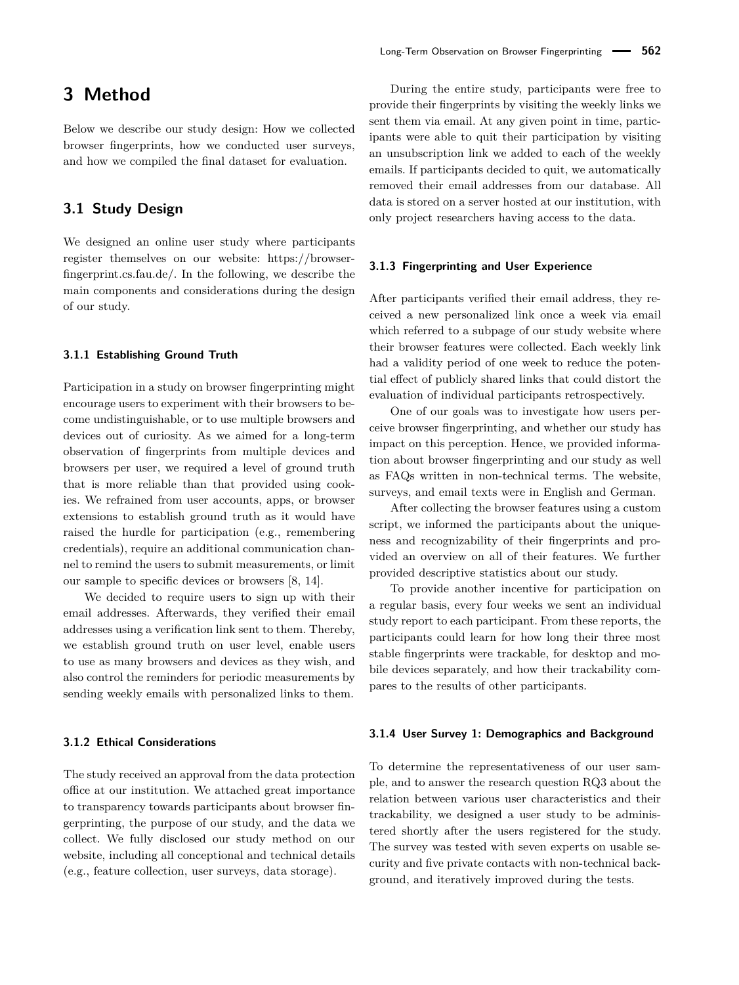# <span id="page-4-0"></span>**3 Method**

Below we describe our study design: How we collected browser fingerprints, how we conducted user surveys, and how we compiled the final dataset for evaluation.

### **3.1 Study Design**

We designed an online user study where participants register themselves on our website: https://browserfingerprint.cs.fau.de/. In the following, we describe the main components and considerations during the design of our study.

#### **3.1.1 Establishing Ground Truth**

Participation in a study on browser fingerprinting might encourage users to experiment with their browsers to become undistinguishable, or to use multiple browsers and devices out of curiosity. As we aimed for a long-term observation of fingerprints from multiple devices and browsers per user, we required a level of ground truth that is more reliable than that provided using cookies. We refrained from user accounts, apps, or browser extensions to establish ground truth as it would have raised the hurdle for participation (e.g., remembering credentials), require an additional communication channel to remind the users to submit measurements, or limit our sample to specific devices or browsers [\[8,](#page-16-5) [14\]](#page-16-13).

We decided to require users to sign up with their email addresses. Afterwards, they verified their email addresses using a verification link sent to them. Thereby, we establish ground truth on user level, enable users to use as many browsers and devices as they wish, and also control the reminders for periodic measurements by sending weekly emails with personalized links to them.

#### **3.1.2 Ethical Considerations**

The study received an approval from the data protection office at our institution. We attached great importance to transparency towards participants about browser fingerprinting, the purpose of our study, and the data we collect. We fully disclosed our study method on our website, including all conceptional and technical details (e.g., feature collection, user surveys, data storage).

During the entire study, participants were free to provide their fingerprints by visiting the weekly links we sent them via email. At any given point in time, participants were able to quit their participation by visiting an unsubscription link we added to each of the weekly emails. If participants decided to quit, we automatically removed their email addresses from our database. All data is stored on a server hosted at our institution, with only project researchers having access to the data.

#### **3.1.3 Fingerprinting and User Experience**

After participants verified their email address, they received a new personalized link once a week via email which referred to a subpage of our study website where their browser features were collected. Each weekly link had a validity period of one week to reduce the potential effect of publicly shared links that could distort the evaluation of individual participants retrospectively.

One of our goals was to investigate how users perceive browser fingerprinting, and whether our study has impact on this perception. Hence, we provided information about browser fingerprinting and our study as well as FAQs written in non-technical terms. The website, surveys, and email texts were in English and German.

After collecting the browser features using a custom script, we informed the participants about the uniqueness and recognizability of their fingerprints and provided an overview on all of their features. We further provided descriptive statistics about our study.

To provide another incentive for participation on a regular basis, every four weeks we sent an individual study report to each participant. From these reports, the participants could learn for how long their three most stable fingerprints were trackable, for desktop and mobile devices separately, and how their trackability compares to the results of other participants.

#### **3.1.4 User Survey 1: Demographics and Background**

To determine the representativeness of our user sample, and to answer the research question RQ3 about the relation between various user characteristics and their trackability, we designed a user study to be administered shortly after the users registered for the study. The survey was tested with seven experts on usable security and five private contacts with non-technical background, and iteratively improved during the tests.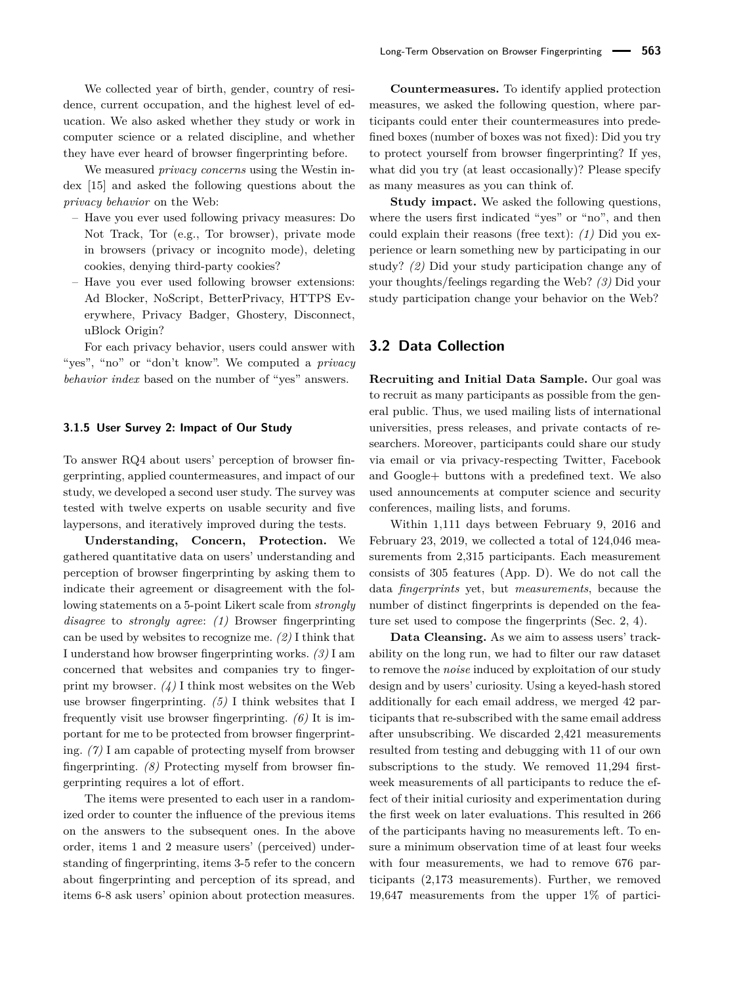We collected year of birth, gender, country of residence, current occupation, and the highest level of education. We also asked whether they study or work in computer science or a related discipline, and whether they have ever heard of browser fingerprinting before.

We measured *privacy concerns* using the Westin index [\[15\]](#page-16-14) and asked the following questions about the *privacy behavior* on the Web:

- Have you ever used following privacy measures: Do Not Track, Tor (e.g., Tor browser), private mode in browsers (privacy or incognito mode), deleting cookies, denying third-party cookies?
- Have you ever used following browser extensions: Ad Blocker, NoScript, BetterPrivacy, HTTPS Everywhere, Privacy Badger, Ghostery, Disconnect, uBlock Origin?

For each privacy behavior, users could answer with "yes", "no" or "don't know". We computed a *privacy behavior index* based on the number of "yes" answers.

#### <span id="page-5-0"></span>**3.1.5 User Survey 2: Impact of Our Study**

To answer RQ4 about users' perception of browser fingerprinting, applied countermeasures, and impact of our study, we developed a second user study. The survey was tested with twelve experts on usable security and five laypersons, and iteratively improved during the tests.

**Understanding, Concern, Protection.** We gathered quantitative data on users' understanding and perception of browser fingerprinting by asking them to indicate their agreement or disagreement with the following statements on a 5-point Likert scale from *strongly disagree* to *strongly agree*: *(1)* Browser fingerprinting can be used by websites to recognize me. *(2)* I think that I understand how browser fingerprinting works. *(3)* I am concerned that websites and companies try to fingerprint my browser. *(4)* I think most websites on the Web use browser fingerprinting. *(5)* I think websites that I frequently visit use browser fingerprinting. *(6)* It is important for me to be protected from browser fingerprinting. *(7)* I am capable of protecting myself from browser fingerprinting. *(8)* Protecting myself from browser fingerprinting requires a lot of effort.

The items were presented to each user in a randomized order to counter the influence of the previous items on the answers to the subsequent ones. In the above order, items 1 and 2 measure users' (perceived) understanding of fingerprinting, items 3-5 refer to the concern about fingerprinting and perception of its spread, and items 6-8 ask users' opinion about protection measures.

**Countermeasures.** To identify applied protection measures, we asked the following question, where participants could enter their countermeasures into predefined boxes (number of boxes was not fixed): Did you try to protect yourself from browser fingerprinting? If yes, what did you try (at least occasionally)? Please specify as many measures as you can think of.

**Study impact.** We asked the following questions, where the users first indicated "yes" or "no", and then could explain their reasons (free text): *(1)* Did you experience or learn something new by participating in our study? *(2)* Did your study participation change any of your thoughts/feelings regarding the Web? *(3)* Did your study participation change your behavior on the Web?

### **3.2 Data Collection**

**Recruiting and Initial Data Sample.** Our goal was to recruit as many participants as possible from the general public. Thus, we used mailing lists of international universities, press releases, and private contacts of researchers. Moreover, participants could share our study via email or via privacy-respecting Twitter, Facebook and Google+ buttons with a predefined text. We also used announcements at computer science and security conferences, mailing lists, and forums.

Within 1,111 days between February 9, 2016 and February 23, 2019, we collected a total of 124,046 measurements from 2,315 participants. Each measurement consists of 305 features (App. [D\)](#page-17-0). We do not call the data *fingerprints* yet, but *measurements*, because the number of distinct fingerprints is depended on the feature set used to compose the fingerprints (Sec. [2,](#page-1-1) [4\)](#page-6-1).

**Data Cleansing.** As we aim to assess users' trackability on the long run, we had to filter our raw dataset to remove the *noise* induced by exploitation of our study design and by users' curiosity. Using a keyed-hash stored additionally for each email address, we merged 42 participants that re-subscribed with the same email address after unsubscribing. We discarded 2,421 measurements resulted from testing and debugging with 11 of our own subscriptions to the study. We removed 11,294 firstweek measurements of all participants to reduce the effect of their initial curiosity and experimentation during the first week on later evaluations. This resulted in 266 of the participants having no measurements left. To ensure a minimum observation time of at least four weeks with four measurements, we had to remove 676 participants (2,173 measurements). Further, we removed 19,647 measurements from the upper 1% of partici-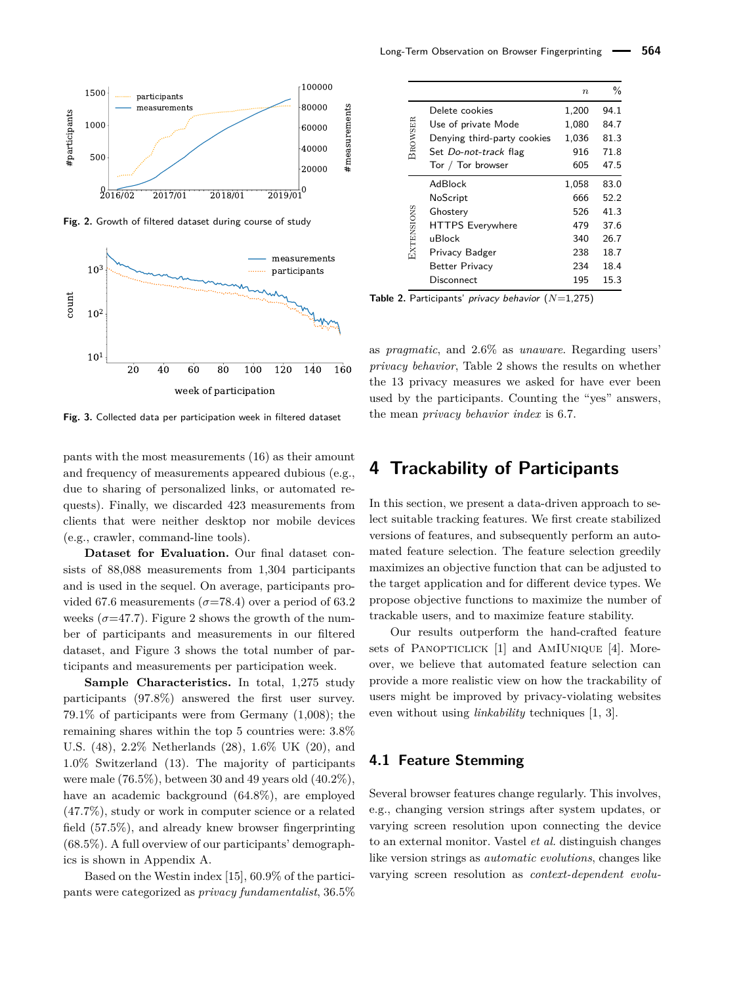<span id="page-6-2"></span>

**Fig. 2.** Growth of filtered dataset during course of study

<span id="page-6-0"></span>

**Fig. 3.** Collected data per participation week in filtered dataset

pants with the most measurements (16) as their amount and frequency of measurements appeared dubious (e.g., due to sharing of personalized links, or automated requests). Finally, we discarded 423 measurements from clients that were neither desktop nor mobile devices (e.g., crawler, command-line tools).

**Dataset for Evaluation.** Our final dataset consists of 88,088 measurements from 1,304 participants and is used in the sequel. On average, participants provided 67.6 measurements ( $\sigma$ =78.4) over a period of 63.2 weeks  $(\sigma=47.7)$ . [Figure 2](#page-6-2) shows the growth of the number of participants and measurements in our filtered dataset, and [Figure 3](#page-6-0) shows the total number of participants and measurements per participation week.

**Sample Characteristics.** In total, 1,275 study participants (97.8%) answered the first user survey. 79.1% of participants were from Germany (1,008); the remaining shares within the top 5 countries were: 3.8% U.S. (48), 2.2% Netherlands (28), 1.6% UK (20), and 1.0% Switzerland (13). The majority of participants were male (76.5%), between 30 and 49 years old (40.2%), have an academic background (64.8%), are employed (47.7%), study or work in computer science or a related field (57.5%), and already knew browser fingerprinting (68.5%). A full overview of our participants' demographics is shown in [Appendix A.](#page-16-15)

Based on the Westin index [\[15\]](#page-16-14), 60.9% of the participants were categorized as *privacy fundamentalist*, 36.5%

<span id="page-6-3"></span>

|                |                             | $\boldsymbol{n}$ | %    |
|----------------|-----------------------------|------------------|------|
|                | Delete cookies              | 1,200            | 94.1 |
|                | Use of private Mode         | 1,080            | 84.7 |
| <b>BROWSER</b> | Denying third-party cookies | 1,036            | 81.3 |
|                | Set Do-not-track flag       | 916              | 71.8 |
|                | Tor / Tor browser           | 605              | 47.5 |
|                | AdBlock                     | 1,058            | 83.0 |
|                | NoScript                    | 666              | 52.2 |
|                | Ghostery                    | 526              | 41.3 |
|                | <b>HTTPS</b> Everywhere     | 479              | 37.6 |
| EXTENSIONS     | uBlock                      | 340              | 26.7 |
|                | Privacy Badger              | 238              | 18.7 |
|                | Better Privacy              | 234              | 18.4 |
|                | Disconnect                  | 195              | 15.3 |
|                |                             |                  |      |

**Table 2.** Participants' privacy behavior (*N*=1,275)

as *pragmatic*, and 2.6% as *unaware*. Regarding users' *privacy behavior*, [Table 2](#page-6-3) shows the results on whether the 13 privacy measures we asked for have ever been used by the participants. Counting the "yes" answers, the mean *privacy behavior index* is 6.7.

# <span id="page-6-1"></span>**4 Trackability of Participants**

In this section, we present a data-driven approach to select suitable tracking features. We first create stabilized versions of features, and subsequently perform an automated feature selection. The feature selection greedily maximizes an objective function that can be adjusted to the target application and for different device types. We propose objective functions to maximize the number of trackable users, and to maximize feature stability.

Our results outperform the hand-crafted feature sets of PANOPTICLICK [\[1\]](#page-16-0) and AMIUNIQUE [\[4\]](#page-16-4). Moreover, we believe that automated feature selection can provide a more realistic view on how the trackability of users might be improved by privacy-violating websites even without using *linkability* techniques [\[1,](#page-16-0) [3\]](#page-16-3).

### <span id="page-6-4"></span>**4.1 Feature Stemming**

Several browser features change regularly. This involves, e.g., changing version strings after system updates, or varying screen resolution upon connecting the device to an external monitor. Vastel *et al.* distinguish changes like version strings as *automatic evolutions*, changes like varying screen resolution as *context-dependent evolu-*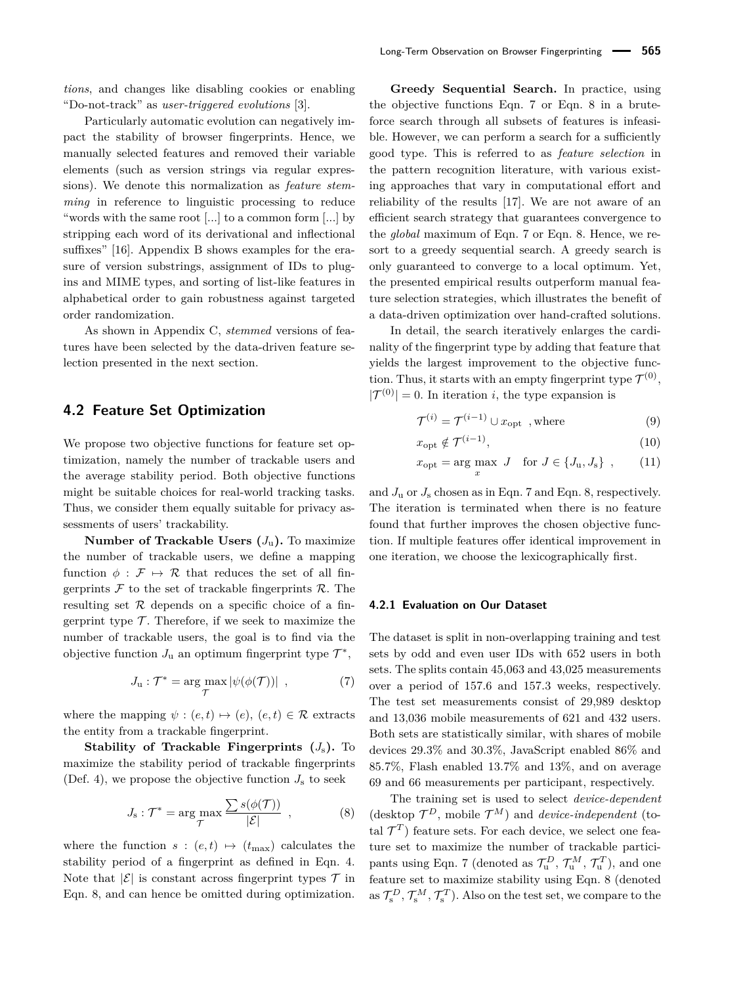*tions*, and changes like disabling cookies or enabling "Do-not-track" as *user-triggered evolutions* [\[3\]](#page-16-3).

Particularly automatic evolution can negatively impact the stability of browser fingerprints. Hence, we manually selected features and removed their variable elements (such as version strings via regular expressions). We denote this normalization as *feature stemming* in reference to linguistic processing to reduce "words with the same root [...] to a common form [...] by stripping each word of its derivational and inflectional suffixes" [\[16\]](#page-16-16). [Appendix B](#page-16-17) shows examples for the erasure of version substrings, assignment of IDs to plugins and MIME types, and sorting of list-like features in alphabetical order to gain robustness against targeted order randomization.

As shown in [Appendix C,](#page-17-1) *stemmed* versions of features have been selected by the data-driven feature selection presented in the next section.

### <span id="page-7-2"></span>**4.2 Feature Set Optimization**

We propose two objective functions for feature set optimization, namely the number of trackable users and the average stability period. Both objective functions might be suitable choices for real-world tracking tasks. Thus, we consider them equally suitable for privacy assessments of users' trackability.

**Number of Trackable Users**  $(J_u)$ **. To maximize** the number of trackable users, we define a mapping function  $\phi : \mathcal{F} \mapsto \mathcal{R}$  that reduces the set of all fingerprints  $\mathcal F$  to the set of trackable fingerprints  $\mathcal R$ . The resulting set  $R$  depends on a specific choice of a fingerprint type  $\mathcal T$ . Therefore, if we seek to maximize the number of trackable users, the goal is to find via the objective function  $J_u$  an optimum fingerprint type  $\mathcal{T}^*$ ,

$$
J_{\mathbf{u}} : \mathcal{T}^* = \arg \max_{\mathcal{T}} |\psi(\phi(\mathcal{T}))| \tag{7}
$$

where the mapping  $\psi : (e, t) \mapsto (e), (e, t) \in \mathcal{R}$  extracts the entity from a trackable fingerprint.

**Stability of Trackable Fingerprints**  $(J_s)$ **. To** maximize the stability period of trackable fingerprints (Def. [4\)](#page-2-1), we propose the objective function  $J_s$  to seek

$$
J_{\rm s}: \mathcal{T}^* = \arg \max_{\mathcal{T}} \frac{\sum s(\phi(\mathcal{T}))}{|\mathcal{E}|} \quad , \tag{8}
$$

where the function  $s : (e, t) \mapsto (t_{\text{max}})$  calculates the stability period of a fingerprint as defined in Eqn. [4.](#page-2-2) Note that  $|\mathcal{E}|$  is constant across fingerprint types  $\mathcal{T}$  in Eqn. [8,](#page-7-0) and can hence be omitted during optimization.

**Greedy Sequential Search.** In practice, using the objective functions Eqn. [7](#page-7-1) or Eqn. [8](#page-7-0) in a bruteforce search through all subsets of features is infeasible. However, we can perform a search for a sufficiently good type. This is referred to as *feature selection* in the pattern recognition literature, with various existing approaches that vary in computational effort and reliability of the results [\[17\]](#page-16-18). We are not aware of an efficient search strategy that guarantees convergence to the *global* maximum of Eqn. [7](#page-7-1) or Eqn. [8.](#page-7-0) Hence, we resort to a greedy sequential search. A greedy search is only guaranteed to converge to a local optimum. Yet, the presented empirical results outperform manual feature selection strategies, which illustrates the benefit of a data-driven optimization over hand-crafted solutions.

In detail, the search iteratively enlarges the cardinality of the fingerprint type by adding that feature that yields the largest improvement to the objective function. Thus, it starts with an empty fingerprint type  $\mathcal{T}^{(0)}$ ,  $|\mathcal{T}^{(0)}| = 0$ . In iteration *i*, the type expansion is

$$
\mathcal{T}^{(i)} = \mathcal{T}^{(i-1)} \cup x_{\text{opt}} \quad \text{where} \tag{9}
$$

$$
x_{\rm opt} \notin \mathcal{T}^{(i-1)},\tag{10}
$$

$$
x_{\rm opt} = \arg\max_{x} J \quad \text{for } J \in \{J_{\rm u}, J_{\rm s}\},\qquad(11)
$$

and  $J_{\rm u}$  or  $J_{\rm s}$  chosen as in Eqn. [7](#page-7-1) and Eqn. [8,](#page-7-0) respectively. The iteration is terminated when there is no feature found that further improves the chosen objective function. If multiple features offer identical improvement in one iteration, we choose the lexicographically first.

#### <span id="page-7-3"></span>**4.2.1 Evaluation on Our Dataset**

<span id="page-7-1"></span>The dataset is split in non-overlapping training and test sets by odd and even user IDs with 652 users in both sets. The splits contain 45,063 and 43,025 measurements over a period of 157.6 and 157.3 weeks, respectively. The test set measurements consist of 29,989 desktop and 13,036 mobile measurements of 621 and 432 users. Both sets are statistically similar, with shares of mobile devices 29.3% and 30.3%, JavaScript enabled 86% and 85.7%, Flash enabled 13.7% and 13%, and on average 69 and 66 measurements per participant, respectively.

<span id="page-7-0"></span>The training set is used to select *device-dependent* (desktop  $\mathcal{T}^D$ , mobile  $\mathcal{T}^M$ ) and *device-independent* (total  $\mathcal{T}^T$ ) feature sets. For each device, we select one feature set to maximize the number of trackable partici-pants using Eqn. [7](#page-7-1) (denoted as  $\mathcal{T}_{\mathrm{u}}^D$ ,  $\mathcal{T}_{\mathrm{u}}^M$ ,  $\mathcal{T}_{\mathrm{u}}^T$ ), and one feature set to maximize stability using Eqn. [8](#page-7-0) (denoted as  $\mathcal{T}_{\rm s}^D$ ,  $\mathcal{T}_{\rm s}^M$ ,  $\mathcal{T}_{\rm s}^T$ ). Also on the test set, we compare to the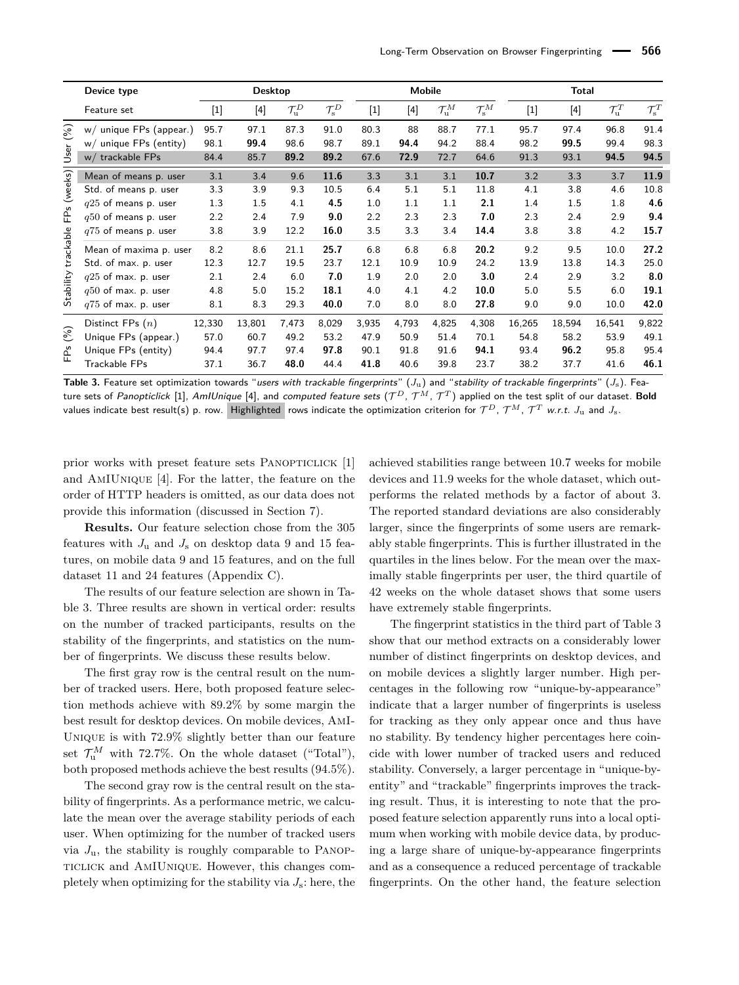<span id="page-8-0"></span>

|           | Device type                                |              | <b>Desktop</b> |                            |                            |              |              | <b>Mobile</b>                |                              |              | <b>Total</b> |                              |                            |
|-----------|--------------------------------------------|--------------|----------------|----------------------------|----------------------------|--------------|--------------|------------------------------|------------------------------|--------------|--------------|------------------------------|----------------------------|
|           | Feature set                                | $[1]$        | $[4]$          | $\mathcal{T}^D_\mathrm{u}$ | $\mathcal{T}_\mathrm{s}^D$ | $[1]$        | $[4]$        | $\mathcal{T}_{\mathrm{u}}^M$ | $\mathcal{T}_{\mathrm{s}}^M$ | $[1]$        | $[4]$        | $\mathcal{T}_{\mathrm{u}}^T$ | $\mathcal{T}_\mathrm{s}^T$ |
| (%)       | w/ unique FPs (appear.)                    | 95.7         | 97.1           | 87.3                       | 91.0                       | 80.3         | 88           | 88.7                         | 77.1                         | 95.7         | 97.4         | 96.8                         | 91.4                       |
| User      | w/ unique FPs (entity)<br>w/ trackable FPs | 98.1<br>84.4 | 99.4<br>85.7   | 98.6<br>89.2               | 98.7<br>89.2               | 89.1<br>67.6 | 94.4<br>72.9 | 94.2<br>72.7                 | 88.4<br>64.6                 | 98.2<br>91.3 | 99.5<br>93.1 | 99.4<br>94.5                 | 98.3<br>94.5               |
|           | Mean of means p. user                      | 3.1          | 3.4            | 9.6                        | 11.6                       | 3.3          | 3.1          | 3.1                          | 10.7                         | 3.2          | 3.3          | 3.7                          | 11.9                       |
| (weeks)   | Std. of means p. user                      | 3.3          | 3.9            | 9.3                        | 10.5                       | 6.4          | 5.1          | 5.1                          | 11.8                         | 4.1          | 3.8          | 4.6                          | 10.8                       |
|           | $q25$ of means p. user                     | 1.3          | 1.5            | 4.1                        | 4.5                        | 1.0          | 1.1          | 1.1                          | 2.1                          | 1.4          | 1.5          | 1.8                          | 4.6                        |
| FPs       | $q50$ of means p. user                     | 2.2          | 2.4            | 7.9                        | 9.0                        | 2.2          | 2.3          | 2.3                          | 7.0                          | 2.3          | 2.4          | 2.9                          | 9.4                        |
|           | $q75$ of means p. user                     | 3.8          | 3.9            | 12.2                       | 16.0                       | 3.5          | 3.3          | 3.4                          | 14.4                         | 3.8          | 3.8          | 4.2                          | 15.7                       |
| trackable | Mean of maxima p. user                     | 8.2          | 8.6            | 21.1                       | 25.7                       | 6.8          | 6.8          | 6.8                          | 20.2                         | 9.2          | 9.5          | 10.0                         | 27.2                       |
|           | Std. of max. p. user                       | 12.3         | 12.7           | 19.5                       | 23.7                       | 12.1         | 10.9         | 10.9                         | 24.2                         | 13.9         | 13.8         | 14.3                         | 25.0                       |
|           | $q25$ of max. p. user                      | 2.1          | 2.4            | 6.0                        | 7.0                        | 1.9          | 2.0          | 2.0                          | 3.0                          | 2.4          | 2.9          | 3.2                          | 8.0                        |
| Stability | $q50$ of max. p. user                      | 4.8          | 5.0            | 15.2                       | 18.1                       | 4.0          | 4.1          | 4.2                          | 10.0                         | 5.0          | 5.5          | 6.0                          | 19.1                       |
|           | $q75$ of max. p. user                      | 8.1          | 8.3            | 29.3                       | 40.0                       | 7.0          | 8.0          | 8.0                          | 27.8                         | 9.0          | 9.0          | 10.0                         | 42.0                       |
|           | Distinct FPs $(n)$                         | 12,330       | 13,801         | 7,473                      | 8,029                      | 3,935        | 4,793        | 4,825                        | 4,308                        | 16,265       | 18,594       | 16,541                       | 9,822                      |
| (%)       | Unique FPs (appear.)                       | 57.0         | 60.7           | 49.2                       | 53.2                       | 47.9         | 50.9         | 51.4                         | 70.1                         | 54.8         | 58.2         | 53.9                         | 49.1                       |
| പ്        | Unique FPs (entity)                        | 94.4         | 97.7           | 97.4                       | 97.8                       | 90.1         | 91.8         | 91.6                         | 94.1                         | 93.4         | 96.2         | 95.8                         | 95.4                       |
| Щ         | Trackable FPs                              | 37.1         | 36.7           | 48.0                       | 44.4                       | 41.8         | 40.6         | 39.8                         | 23.7                         | 38.2         | 37.7         | 41.6                         | 46.1                       |

**Table 3.** Feature set optimization towards "users with trackable fingerprints"  $(J_u)$  and "stability of trackable fingerprints"  $(J_s)$ . Feature sets of *Panopticlick* [\[1\]](#page-16-0), AmIUnique [\[4\]](#page-16-4), and *computed feature sets (T<sup>D</sup>, T<sup>M</sup>, T<sup>T</sup>) applied on the test split of our dataset. Bold* values indicate best result(s) p. row. Highlighted rows indicate the optimization criterion for  $\mathcal{T}^D$ ,  $\mathcal{T}^M$ ,  $\mathcal{T}^T$  *w.r.t. J*<sub>u</sub> and *J*<sub>s</sub>.

prior works with preset feature sets PANOPTICLICK [\[1\]](#page-16-0) and AmIUnique [\[4\]](#page-16-4). For the latter, the feature on the order of HTTP headers is omitted, as our data does not provide this information (discussed in Section [7\)](#page-14-0).

**Results.** Our feature selection chose from the 305 features with  $J_u$  and  $J_s$  on desktop data 9 and 15 features, on mobile data 9 and 15 features, and on the full dataset 11 and 24 features [\(Appendix C\)](#page-17-1).

The results of our feature selection are shown in [Ta](#page-8-0)[ble 3.](#page-8-0) Three results are shown in vertical order: results on the number of tracked participants, results on the stability of the fingerprints, and statistics on the number of fingerprints. We discuss these results below.

The first gray row is the central result on the number of tracked users. Here, both proposed feature selection methods achieve with 89.2% by some margin the best result for desktop devices. On mobile devices, AmI-Unique is with 72.9% slightly better than our feature set  $\mathcal{T}_{\mathrm{u}}^{M}$  with 72.7%. On the whole dataset ("Total"), both proposed methods achieve the best results (94.5%).

The second gray row is the central result on the stability of fingerprints. As a performance metric, we calculate the mean over the average stability periods of each user. When optimizing for the number of tracked users via  $J_{\rm u}$ , the stability is roughly comparable to PANOPticlick and AmIUnique. However, this changes completely when optimizing for the stability via  $J_s$ : here, the achieved stabilities range between 10.7 weeks for mobile devices and 11.9 weeks for the whole dataset, which outperforms the related methods by a factor of about 3. The reported standard deviations are also considerably larger, since the fingerprints of some users are remarkably stable fingerprints. This is further illustrated in the quartiles in the lines below. For the mean over the maximally stable fingerprints per user, the third quartile of 42 weeks on the whole dataset shows that some users have extremely stable fingerprints.

The fingerprint statistics in the third part of [Table 3](#page-8-0) show that our method extracts on a considerably lower number of distinct fingerprints on desktop devices, and on mobile devices a slightly larger number. High percentages in the following row "unique-by-appearance" indicate that a larger number of fingerprints is useless for tracking as they only appear once and thus have no stability. By tendency higher percentages here coincide with lower number of tracked users and reduced stability. Conversely, a larger percentage in "unique-byentity" and "trackable" fingerprints improves the tracking result. Thus, it is interesting to note that the proposed feature selection apparently runs into a local optimum when working with mobile device data, by producing a large share of unique-by-appearance fingerprints and as a consequence a reduced percentage of trackable fingerprints. On the other hand, the feature selection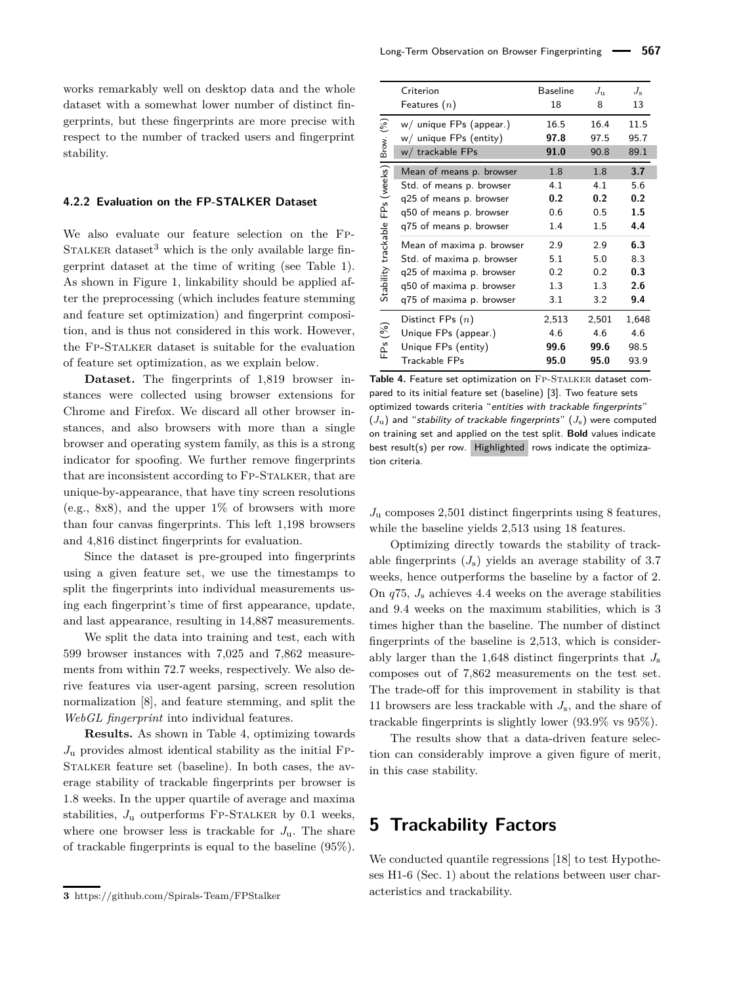works remarkably well on desktop data and the whole dataset with a somewhat lower number of distinct fingerprints, but these fingerprints are more precise with respect to the number of tracked users and fingerprint stability.

#### **4.2.2 Evaluation on the FP-STALKER Dataset**

We also evaluate our feature selection on the Fp-STALKER dataset<sup>[3](#page-0-0)</sup> which is the only available large fingerprint dataset at the time of writing (see Table [1\)](#page-3-0). As shown in Figure [1,](#page-1-0) linkability should be applied after the preprocessing (which includes feature stemming and feature set optimization) and fingerprint composition, and is thus not considered in this work. However, the Fp-Stalker dataset is suitable for the evaluation of feature set optimization, as we explain below.

**Dataset.** The fingerprints of 1,819 browser instances were collected using browser extensions for Chrome and Firefox. We discard all other browser instances, and also browsers with more than a single browser and operating system family, as this is a strong indicator for spoofing. We further remove fingerprints that are inconsistent according to FP-STALKER, that are unique-by-appearance, that have tiny screen resolutions (e.g., 8x8), and the upper  $1\%$  of browsers with more than four canvas fingerprints. This left 1,198 browsers and 4,816 distinct fingerprints for evaluation.

Since the dataset is pre-grouped into fingerprints using a given feature set, we use the timestamps to split the fingerprints into individual measurements using each fingerprint's time of first appearance, update, and last appearance, resulting in 14,887 measurements.

We split the data into training and test, each with 599 browser instances with 7,025 and 7,862 measurements from within 72.7 weeks, respectively. We also derive features via user-agent parsing, screen resolution normalization [\[8\]](#page-16-5), and feature stemming, and split the *WebGL fingerprint* into individual features.

**Results.** As shown in Table [4,](#page-9-1) optimizing towards  $J_{\rm u}$  provides almost identical stability as the initial FP-Stalker feature set (baseline). In both cases, the average stability of trackable fingerprints per browser is 1.8 weeks. In the upper quartile of average and maxima stabilities,  $J_{\rm u}$  outperforms FP-STALKER by 0.1 weeks, where one browser less is trackable for  $J_{\mathbf{u}}$ . The share of trackable fingerprints is equal to the baseline (95%).

<span id="page-9-1"></span>

|                                  | Criterion<br>Features $(n)$                       | <b>Baseline</b><br>18 | $J_{\rm u}$<br>8 | $J_{\rm s}$<br>13 |
|----------------------------------|---------------------------------------------------|-----------------------|------------------|-------------------|
| $\widehat{\mathcal{E}}$<br>Brow. | w/ unique FPs (appear.)<br>w/ unique FPs (entity) | 16.5<br>97.8<br>91.0  | 16.4<br>97.5     | 11.5<br>95.7      |
|                                  | w/ trackable FPs                                  |                       | 90.8             | 89.1              |
| FPs (weeks)                      | Mean of means p. browser                          | 1.8                   | 1.8              | 3.7               |
|                                  | Std. of means p. browser                          | 4.1                   | 4.1              | 5.6               |
|                                  | q25 of means p. browser                           | 0.2                   | 0.2              | 0.2               |
|                                  | q50 of means p. browser                           | 0.6                   | 0.5              | 1.5               |
|                                  | q75 of means p. browser                           | 1.4                   | 1.5              | 4.4               |
| Stability trackable              | Mean of maxima p. browser                         | 2.9                   | 2.9              | 6.3               |
|                                  | Std. of maxima p. browser                         | 5.1                   | 5.0              | 8.3               |
|                                  | q25 of maxima p. browser                          | 0.2                   | 0.2              | 0.3               |
|                                  | q50 of maxima p. browser                          | 1.3                   | 1.3              | 2.6               |
|                                  | q75 of maxima p. browser                          | 3.1                   | 3.2              | 9.4               |
|                                  | Distinct FPs $(n)$                                | 2,513                 | 2,501            | 1,648             |
| (%)                              | Unique FPs (appear.)                              | 4.6                   | 4.6              | 4.6               |
| Εpς                              | Unique FPs (entity)                               | 99.6                  | 99.6             | 98.5              |
|                                  | <b>Trackable FPs</b>                              | 95.0                  | 95.0             | 93.9              |

Table 4. Feature set optimization on FP-STALKER dataset compared to its initial feature set (baseline) [\[3\]](#page-16-3). Two feature sets optimized towards criteria "entities with trackable fingerprints"  $(J<sub>u</sub>)$  and "stability of trackable fingerprints"  $(J<sub>s</sub>)$  were computed on training set and applied on the test split. **Bold** values indicate best result(s) per row. Highlighted rows indicate the optimization criteria.

*J*<sup>u</sup> composes 2,501 distinct fingerprints using 8 features, while the baseline yields 2,513 using 18 features.

Optimizing directly towards the stability of trackable fingerprints  $(J_s)$  yields an average stability of 3.7 weeks, hence outperforms the baseline by a factor of 2. On *q*75, *J*<sup>s</sup> achieves 4.4 weeks on the average stabilities and 9.4 weeks on the maximum stabilities, which is 3 times higher than the baseline. The number of distinct fingerprints of the baseline is 2,513, which is considerably larger than the 1,648 distinct fingerprints that *J*<sup>s</sup> composes out of 7,862 measurements on the test set. The trade-off for this improvement in stability is that 11 browsers are less trackable with *J*s, and the share of trackable fingerprints is slightly lower (93.9% vs 95%).

The results show that a data-driven feature selection can considerably improve a given figure of merit, in this case stability.

# <span id="page-9-0"></span>**5 Trackability Factors**

We conducted quantile regressions [\[18\]](#page-16-19) to test Hypotheses H1-6 (Sec. [1\)](#page-0-1) about the relations between user characteristics and trackability.

**<sup>3</sup>** <https://github.com/Spirals-Team/FPStalker>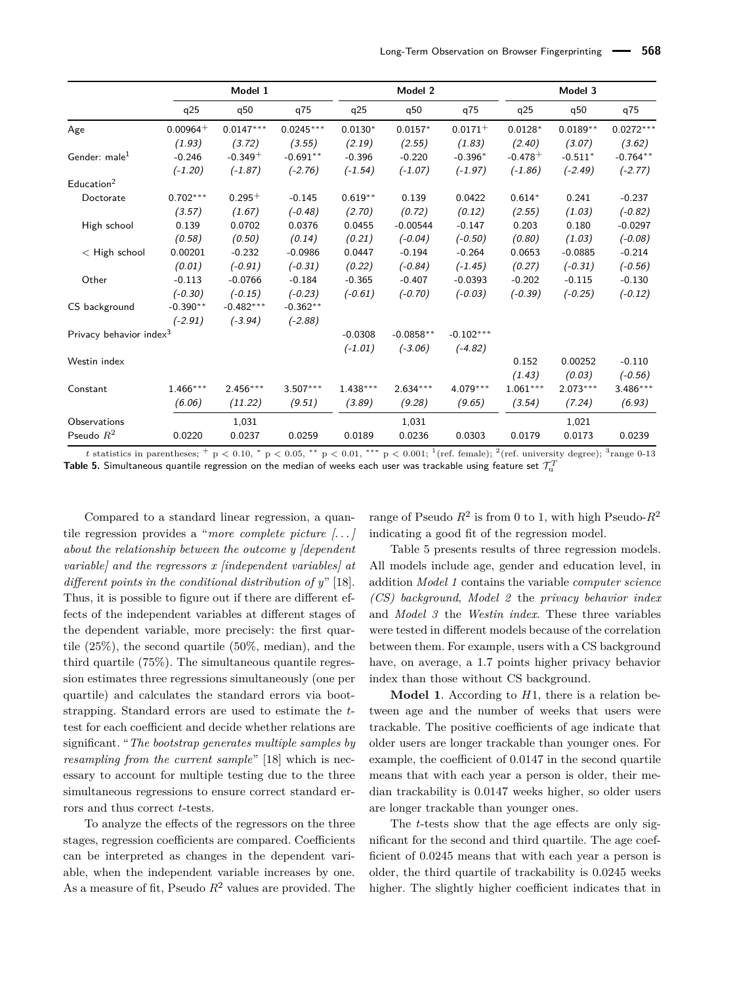<span id="page-10-0"></span>

|                            |             | Model 1     |             |            | Model 2     |              |            | Model 3    |             |
|----------------------------|-------------|-------------|-------------|------------|-------------|--------------|------------|------------|-------------|
|                            | q25         | q50         | q75         | q25        | q50         | q75          | q25        | q50        | q75         |
| Age                        | $0.00964 +$ | $0.0147***$ | $0.0245***$ | $0.0130*$  | $0.0157*$   | $0.0171^{+}$ | $0.0128*$  | $0.0189**$ | $0.0272***$ |
|                            | (1.93)      | (3.72)      | (3.55)      | (2.19)     | (2.55)      | (1.83)       | (2.40)     | (3.07)     | (3.62)      |
| Gender: male <sup>1</sup>  | $-0.246$    | $-0.349+$   | $-0.691**$  | $-0.396$   | $-0.220$    | $-0.396*$    | $-0.478 +$ | $-0.511*$  | $-0.764**$  |
|                            | $(-1.20)$   | $(-1.87)$   | $(-2.76)$   | $(-1.54)$  | $(-1.07)$   | $(-1.97)$    | $(-1.86)$  | $(-2.49)$  | $(-2.77)$   |
| Education <sup>2</sup>     |             |             |             |            |             |              |            |            |             |
| Doctorate                  | $0.702***$  | $0.295+$    | $-0.145$    | $0.619**$  | 0.139       | 0.0422       | $0.614*$   | 0.241      | $-0.237$    |
|                            | (3.57)      | (1.67)      | $(-0.48)$   | (2.70)     | (0.72)      | (0.12)       | (2.55)     | (1.03)     | $(-0.82)$   |
| High school                | 0.139       | 0.0702      | 0.0376      | 0.0455     | $-0.00544$  | $-0.147$     | 0.203      | 0.180      | $-0.0297$   |
|                            | (0.58)      | (0.50)      | (0.14)      | (0.21)     | $(-0.04)$   | $(-0.50)$    | (0.80)     | (1.03)     | $(-0.08)$   |
| $<$ High school            | 0.00201     | $-0.232$    | $-0.0986$   | 0.0447     | $-0.194$    | $-0.264$     | 0.0653     | $-0.0885$  | $-0.214$    |
|                            | (0.01)      | $(-0.91)$   | $(-0.31)$   | (0.22)     | $(-0.84)$   | $(-1.45)$    | (0.27)     | $(-0.31)$  | $(-0.56)$   |
| Other                      | $-0.113$    | $-0.0766$   | $-0.184$    | $-0.365$   | $-0.407$    | $-0.0393$    | $-0.202$   | $-0.115$   | $-0.130$    |
|                            | $(-0.30)$   | $(-0.15)$   | $(-0.23)$   | $(-0.61)$  | $(-0.70)$   | $(-0.03)$    | $(-0.39)$  | $(-0.25)$  | $(-0.12)$   |
| CS background              | $-0.390**$  | $-0.482***$ | $-0.362**$  |            |             |              |            |            |             |
|                            | $(-2.91)$   | $(-3.94)$   | $(-2.88)$   |            |             |              |            |            |             |
| Privacy behavior index $3$ |             |             |             | $-0.0308$  | $-0.0858**$ | $-0.102***$  |            |            |             |
|                            |             |             |             | $(-1.01)$  | $(-3.06)$   | $(-4.82)$    |            |            |             |
| Westin index               |             |             |             |            |             |              | 0.152      | 0.00252    | $-0.110$    |
|                            |             |             |             |            |             |              | (1.43)     | (0.03)     | $(-0.56)$   |
| Constant                   | $1.466***$  | $2.456***$  | $3.507***$  | $1.438***$ | $2.634***$  | $4.079***$   | $1.061***$ | $2.073***$ | $3.486***$  |
|                            | (6.06)      | (11.22)     | (9.51)      | (3.89)     | (9.28)      | (9.65)       | (3.54)     | (7.24)     | (6.93)      |
| Observations               |             | 1,031       |             |            | 1,031       |              |            | 1,021      |             |
| Pseudo $R^2$               | 0.0220      | 0.0237      | 0.0259      | 0.0189     | 0.0236      | 0.0303       | 0.0179     | 0.0173     | 0.0239      |

*t* statistics in parentheses; + p < 0.10, \* p < 0.05, \*\* p < 0.01, \*\*\* p < 0.001; <sup>1</sup>(ref. female); <sup>2</sup>(ref. university degree); <sup>3</sup>range 0-13  ${\sf Table~5.}$  Simultaneous quantile regression on the median of weeks each user was trackable using feature set  $\mathcal{T}^T_u$ 

Compared to a standard linear regression, a quantile regression provides a "*more complete picture [. . . ] about the relationship between the outcome y [dependent variable] and the regressors x [independent variables] at different points in the conditional distribution of y*" [\[18\]](#page-16-19). Thus, it is possible to figure out if there are different effects of the independent variables at different stages of the dependent variable, more precisely: the first quartile (25%), the second quartile (50%, median), and the third quartile (75%). The simultaneous quantile regression estimates three regressions simultaneously (one per quartile) and calculates the standard errors via bootstrapping. Standard errors are used to estimate the *t*test for each coefficient and decide whether relations are significant. "*The bootstrap generates multiple samples by resampling from the current sample*" [\[18\]](#page-16-19) which is necessary to account for multiple testing due to the three simultaneous regressions to ensure correct standard errors and thus correct *t*-tests.

To analyze the effects of the regressors on the three stages, regression coefficients are compared. Coefficients can be interpreted as changes in the dependent variable, when the independent variable increases by one. As a measure of fit, Pseudo *R*<sup>2</sup> values are provided. The

range of Pseudo *R*<sup>2</sup> is from 0 to 1, with high Pseudo-*R*<sup>2</sup> indicating a good fit of the regression model.

[Table 5](#page-10-0) presents results of three regression models. All models include age, gender and education level, in addition *Model 1* contains the variable *computer science (CS) background*, *Model 2* the *privacy behavior index* and *Model 3* the *Westin index*. These three variables were tested in different models because of the correlation between them. For example, users with a CS background have, on average, a 1.7 points higher privacy behavior index than those without CS background.

**Model 1**. According to *H*1, there is a relation between age and the number of weeks that users were trackable. The positive coefficients of age indicate that older users are longer trackable than younger ones. For example, the coefficient of 0.0147 in the second quartile means that with each year a person is older, their median trackability is 0.0147 weeks higher, so older users are longer trackable than younger ones.

The *t*-tests show that the age effects are only significant for the second and third quartile. The age coefficient of 0.0245 means that with each year a person is older, the third quartile of trackability is 0.0245 weeks higher. The slightly higher coefficient indicates that in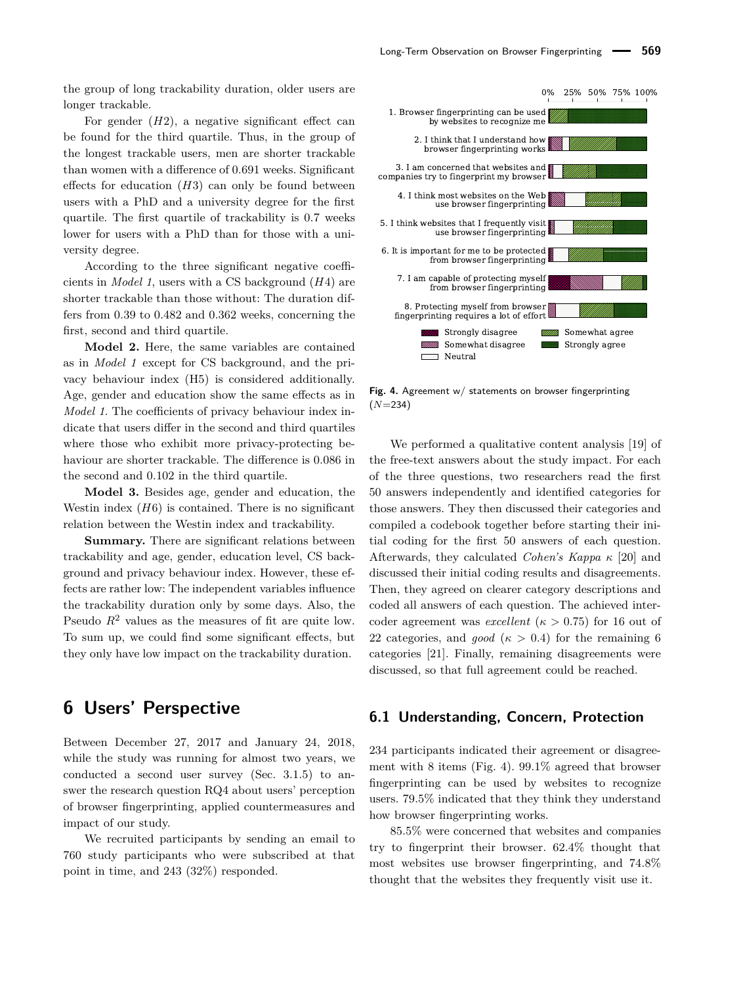the group of long trackability duration, older users are longer trackable.

For gender  $(H2)$ , a negative significant effect can be found for the third quartile. Thus, in the group of the longest trackable users, men are shorter trackable than women with a difference of 0.691 weeks. Significant effects for education (*H*3) can only be found between users with a PhD and a university degree for the first quartile. The first quartile of trackability is 0.7 weeks lower for users with a PhD than for those with a university degree.

According to the three significant negative coefficients in *Model 1*, users with a CS background (*H*4) are shorter trackable than those without: The duration differs from 0.39 to 0.482 and 0.362 weeks, concerning the first, second and third quartile.

**Model 2.** Here, the same variables are contained as in *Model 1* except for CS background, and the privacy behaviour index (H5) is considered additionally. Age, gender and education show the same effects as in *Model 1*. The coefficients of privacy behaviour index indicate that users differ in the second and third quartiles where those who exhibit more privacy-protecting behaviour are shorter trackable. The difference is 0.086 in the second and 0.102 in the third quartile.

**Model 3.** Besides age, gender and education, the Westin index  $(H6)$  is contained. There is no significant relation between the Westin index and trackability.

**Summary.** There are significant relations between trackability and age, gender, education level, CS background and privacy behaviour index. However, these effects are rather low: The independent variables influence the trackability duration only by some days. Also, the Pseudo  $R^2$  values as the measures of fit are quite low. To sum up, we could find some significant effects, but they only have low impact on the trackability duration.

## <span id="page-11-0"></span>**6 Users' Perspective**

Between December 27, 2017 and January 24, 2018, while the study was running for almost two years, we conducted a second user survey (Sec. [3.1.5\)](#page-5-0) to answer the research question RQ4 about users' perception of browser fingerprinting, applied countermeasures and impact of our study.

We recruited participants by sending an email to 760 study participants who were subscribed at that point in time, and 243 (32%) responded.

<span id="page-11-1"></span>

**Fig. 4.** Agreement w/ statements on browser fingerprinting (*N*=234)

We performed a qualitative content analysis [\[19\]](#page-16-20) of the free-text answers about the study impact. For each of the three questions, two researchers read the first 50 answers independently and identified categories for those answers. They then discussed their categories and compiled a codebook together before starting their initial coding for the first 50 answers of each question. Afterwards, they calculated *Cohen's Kappa κ* [\[20\]](#page-16-21) and discussed their initial coding results and disagreements. Then, they agreed on clearer category descriptions and coded all answers of each question. The achieved intercoder agreement was *excellent* ( $\kappa > 0.75$ ) for 16 out of 22 categories, and *good* ( $\kappa > 0.4$ ) for the remaining 6 categories [\[21\]](#page-16-22). Finally, remaining disagreements were discussed, so that full agreement could be reached.

### **6.1 Understanding, Concern, Protection**

234 participants indicated their agreement or disagreement with 8 items (Fig. [4\)](#page-11-1). 99.1% agreed that browser fingerprinting can be used by websites to recognize users. 79.5% indicated that they think they understand how browser fingerprinting works.

85.5% were concerned that websites and companies try to fingerprint their browser. 62.4% thought that most websites use browser fingerprinting, and 74.8% thought that the websites they frequently visit use it.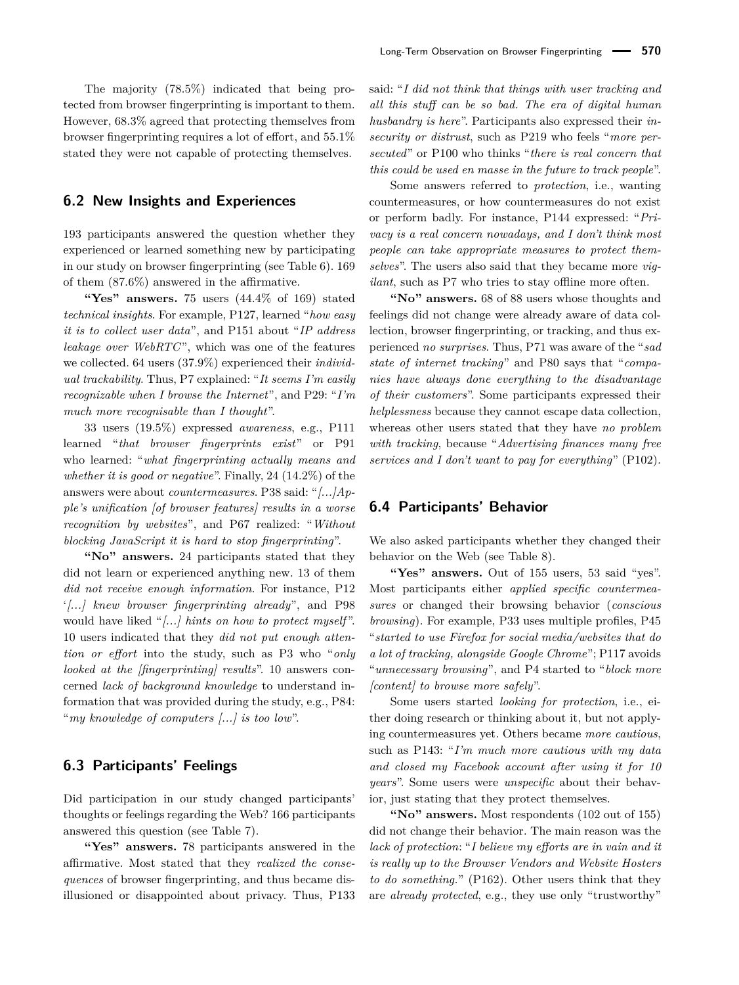### **6.2 New Insights and Experiences**

193 participants answered the question whether they experienced or learned something new by participating in our study on browser fingerprinting (see [Table 6\)](#page-13-0). 169 of them (87.6%) answered in the affirmative.

**"Yes" answers.** 75 users (44.4% of 169) stated *technical insights*. For example, P127, learned "*how easy it is to collect user data*", and P151 about "*IP address leakage over WebRTC*", which was one of the features we collected. 64 users (37.9%) experienced their *individual trackability*. Thus, P7 explained: "*It seems I'm easily recognizable when I browse the Internet*", and P29: "*I'm much more recognisable than I thought*".

33 users (19.5%) expressed *awareness*, e.g., P111 learned "*that browser fingerprints exist*" or P91 who learned: "*what fingerprinting actually means and whether it is good or negative*". Finally, 24 (14.2%) of the answers were about *countermeasures*. P38 said: "*[...]Apple's unification [of browser features] results in a worse recognition by websites*", and P67 realized: "*Without blocking JavaScript it is hard to stop fingerprinting*".

**"No" answers.** 24 participants stated that they did not learn or experienced anything new. 13 of them *did not receive enough information*. For instance, P12 '*[...] knew browser fingerprinting already*", and P98 would have liked "*[...] hints on how to protect myself* ". 10 users indicated that they *did not put enough attention or effort* into the study, such as P3 who "*only looked at the [fingerprinting] results*". 10 answers concerned *lack of background knowledge* to understand information that was provided during the study, e.g., P84: "*my knowledge of computers [...] is too low*".

### **6.3 Participants' Feelings**

Did participation in our study changed participants' thoughts or feelings regarding the Web? 166 participants answered this question (see [Table 7\)](#page-13-1).

**"Yes" answers.** 78 participants answered in the affirmative. Most stated that they *realized the consequences* of browser fingerprinting, and thus became disillusioned or disappointed about privacy. Thus, P133 said: "*I did not think that things with user tracking and all this stuff can be so bad. The era of digital human husbandry is here*". Participants also expressed their *insecurity or distrust*, such as P219 who feels "*more persecuted*" or P100 who thinks "*there is real concern that this could be used en masse in the future to track people*".

Some answers referred to *protection*, i.e., wanting countermeasures, or how countermeasures do not exist or perform badly. For instance, P144 expressed: "*Privacy is a real concern nowadays, and I don't think most people can take appropriate measures to protect themselves*". The users also said that they became more *vigilant*, such as P7 who tries to stay offline more often.

**"No" answers.** 68 of 88 users whose thoughts and feelings did not change were already aware of data collection, browser fingerprinting, or tracking, and thus experienced *no surprises*. Thus, P71 was aware of the "*sad state of internet tracking*" and P80 says that "*companies have always done everything to the disadvantage of their customers*". Some participants expressed their *helplessness* because they cannot escape data collection, whereas other users stated that they have *no problem with tracking*, because "*Advertising finances many free services and I don't want to pay for everything*" (P102).

### **6.4 Participants' Behavior**

We also asked participants whether they changed their behavior on the Web (see [Table 8\)](#page-14-1).

**"Yes" answers.** Out of 155 users, 53 said "yes". Most participants either *applied specific countermeasures* or changed their browsing behavior (*conscious browsing*). For example, P33 uses multiple profiles, P45 "*started to use Firefox for social media/websites that do a lot of tracking, alongside Google Chrome*"; P117 avoids "*unnecessary browsing*", and P4 started to "*block more [content] to browse more safely*".

Some users started *looking for protection*, i.e., either doing research or thinking about it, but not applying countermeasures yet. Others became *more cautious*, such as P143: "*I'm much more cautious with my data and closed my Facebook account after using it for 10 years*". Some users were *unspecific* about their behavior, just stating that they protect themselves.

**"No" answers.** Most respondents (102 out of 155) did not change their behavior. The main reason was the *lack of protection*: "*I believe my efforts are in vain and it is really up to the Browser Vendors and Website Hosters to do something.*" (P162). Other users think that they are *already protected*, e.g., they use only "trustworthy"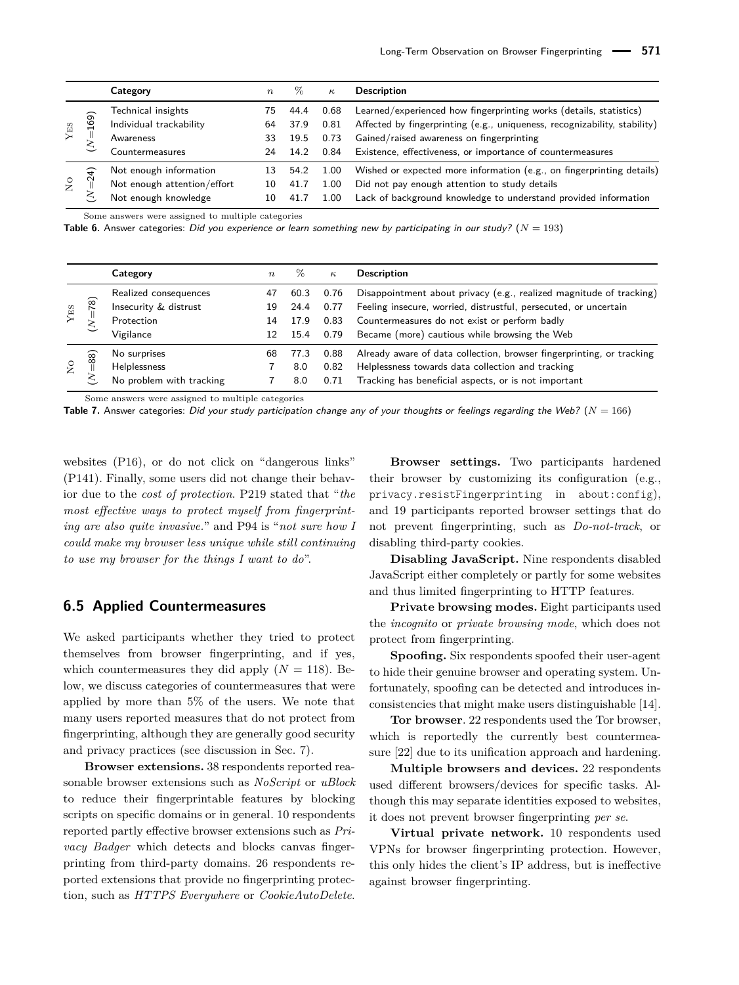<span id="page-13-0"></span>

|                    |        | Category                                                                      | $n_{\rm}$            | $\%$                         | $\kappa$                     | <b>Description</b>                                                                                                                                                                                                                                         |
|--------------------|--------|-------------------------------------------------------------------------------|----------------------|------------------------------|------------------------------|------------------------------------------------------------------------------------------------------------------------------------------------------------------------------------------------------------------------------------------------------------|
| ${\rm Y}{\rm ES}$  | 169)   | Technical insights<br>Individual trackability<br>Awareness<br>Countermeasures | 75<br>64<br>33<br>24 | 44.4<br>37.9<br>19.5<br>14.2 | 0.68<br>0.81<br>0.73<br>0.84 | Learned/experienced how fingerprinting works (details, statistics)<br>Affected by fingerprinting (e.g., uniqueness, recognizability, stability)<br>Gained/raised awareness on fingerprinting<br>Existence, effectiveness, or importance of countermeasures |
| $_{\rm N}^{\rm O}$ | ډ<br>Ń | Not enough information<br>Not enough attention/effort<br>Not enough knowledge | 13<br>10<br>10       | 54.2<br>41.7                 | 1.00<br>1.00<br>1.00         | Wished or expected more information (e.g., on fingerprinting details)<br>Did not pay enough attention to study details<br>Lack of background knowledge to understand provided information                                                                  |

Some answers were assigned to multiple categories

**Table 6.** Answer categories: Did you experience or learn something new by participating in our study?  $(N = 193)$ 

<span id="page-13-1"></span>

|                           |            | Category                                                                  | $\boldsymbol{n}$     | Z0                           | $\kappa$                     | <b>Description</b>                                                                                                                                                                                                                        |
|---------------------------|------------|---------------------------------------------------------------------------|----------------------|------------------------------|------------------------------|-------------------------------------------------------------------------------------------------------------------------------------------------------------------------------------------------------------------------------------------|
| ${\rm Y_{ES}}$            | $\sqrt{2}$ | Realized consequences<br>Insecurity & distrust<br>Protection<br>Vigilance | 47<br>19<br>14<br>12 | 60.3<br>24.4<br>17.9<br>15.4 | 0.76<br>0.77<br>0.83<br>0.79 | Disappointment about privacy (e.g., realized magnitude of tracking)<br>Feeling insecure, worried, distrustful, persecuted, or uncertain<br>Countermeasures do not exist or perform badly<br>Became (more) cautious while browsing the Web |
| $\mathsf{S}^{\mathsf{O}}$ | (88)<br>↖  | No surprises<br>Helplessness<br>No problem with tracking                  | 68                   | 77.3<br>8.0<br>8.0           | 0.88<br>0.82<br>0.71         | Already aware of data collection, browser fingerprinting, or tracking<br>Helplessness towards data collection and tracking<br>Tracking has beneficial aspects, or is not important                                                        |

Some answers were assigned to multiple categories

**Table 7.** Answer categories: Did your study participation change any of your thoughts or feelings regarding the Web? (*N* = 166)

websites (P16), or do not click on "dangerous links" (P141). Finally, some users did not change their behavior due to the *cost of protection*. P219 stated that "*the most effective ways to protect myself from fingerprinting are also quite invasive.*" and P94 is "*not sure how I could make my browser less unique while still continuing to use my browser for the things I want to do*".

### **6.5 Applied Countermeasures**

We asked participants whether they tried to protect themselves from browser fingerprinting, and if yes, which countermeasures they did apply  $(N = 118)$ . Below, we discuss categories of countermeasures that were applied by more than 5% of the users. We note that many users reported measures that do not protect from fingerprinting, although they are generally good security and privacy practices (see discussion in Sec. [7\)](#page-14-0).

**Browser extensions.** 38 respondents reported reasonable browser extensions such as *NoScript* or *uBlock* to reduce their fingerprintable features by blocking scripts on specific domains or in general. 10 respondents reported partly effective browser extensions such as *Privacy Badger* which detects and blocks canvas fingerprinting from third-party domains. 26 respondents reported extensions that provide no fingerprinting protection, such as *HTTPS Everywhere* or *CookieAutoDelete*.

**Browser settings.** Two participants hardened their browser by customizing its configuration (e.g., privacy.resistFingerprinting in about:config), and 19 participants reported browser settings that do not prevent fingerprinting, such as *Do-not-track*, or disabling third-party cookies.

**Disabling JavaScript.** Nine respondents disabled JavaScript either completely or partly for some websites and thus limited fingerprinting to HTTP features.

**Private browsing modes.** Eight participants used the *incognito* or *private browsing mode*, which does not protect from fingerprinting.

**Spoofing.** Six respondents spoofed their user-agent to hide their genuine browser and operating system. Unfortunately, spoofing can be detected and introduces inconsistencies that might make users distinguishable [\[14\]](#page-16-13).

**Tor browser**. 22 respondents used the Tor browser, which is reportedly the currently best countermeasure [\[22\]](#page-16-23) due to its unification approach and hardening.

**Multiple browsers and devices.** 22 respondents used different browsers/devices for specific tasks. Although this may separate identities exposed to websites, it does not prevent browser fingerprinting *per se*.

**Virtual private network.** 10 respondents used VPNs for browser fingerprinting protection. However, this only hides the client's IP address, but is ineffective against browser fingerprinting.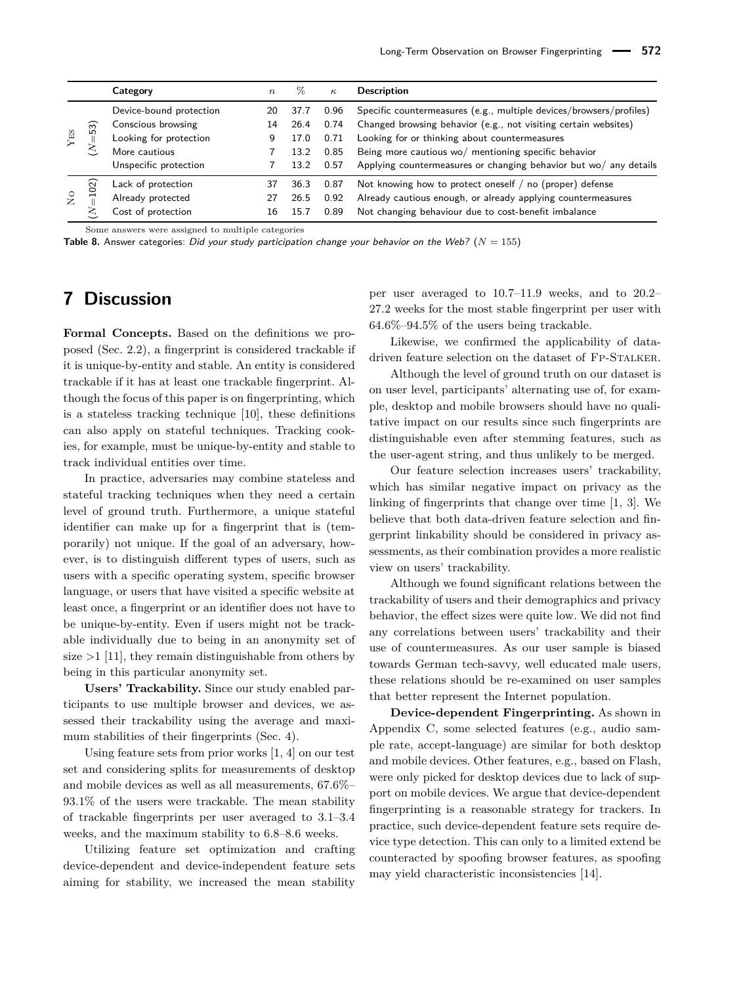<span id="page-14-1"></span>

|                |          | Category                | $\boldsymbol{n}$ | %    | $\kappa$ | <b>Description</b>                                                  |
|----------------|----------|-------------------------|------------------|------|----------|---------------------------------------------------------------------|
|                |          | Device-bound protection | 20               | 37.7 | 0.96     | Specific countermeasures (e.g., multiple devices/browsers/profiles) |
|                | 53)      | Conscious browsing      | 14               | 26.4 | 0.74     | Changed browsing behavior (e.g., not visiting certain websites)     |
| ${\rm YES}$    |          | Looking for protection  | 9                | 17.0 | 0.71     | Looking for or thinking about countermeasures                       |
|                | ∼        | More cautious           |                  | 13.2 | 0.85     | Being more cautious wo/ mentioning specific behavior                |
|                |          | Unspecific protection   |                  | 13.2 | 0.57     | Applying countermeasures or changing behavior but wo/ any details   |
|                | $\Omega$ | Lack of protection      | 37               | 36.3 | 0.87     | Not knowing how to protect oneself $/$ no (proper) defense          |
| $\overline{S}$ | 류        | Already protected       | 27               | 26.5 | 0.92     | Already cautious enough, or already applying countermeasures        |
|                | 2        | Cost of protection      | 16               | 15.7 | 0.89     | Not changing behaviour due to cost-benefit imbalance                |

Some answers were assigned to multiple categories

**Table 8.** Answer categories: Did your study participation change your behavior on the Web? ( $N = 155$ )

# <span id="page-14-0"></span>**7 Discussion**

**Formal Concepts.** Based on the definitions we proposed (Sec. [2.2\)](#page-2-0), a fingerprint is considered trackable if it is unique-by-entity and stable. An entity is considered trackable if it has at least one trackable fingerprint. Although the focus of this paper is on fingerprinting, which is a stateless tracking technique [\[10\]](#page-16-7), these definitions can also apply on stateful techniques. Tracking cookies, for example, must be unique-by-entity and stable to track individual entities over time.

In practice, adversaries may combine stateless and stateful tracking techniques when they need a certain level of ground truth. Furthermore, a unique stateful identifier can make up for a fingerprint that is (temporarily) not unique. If the goal of an adversary, however, is to distinguish different types of users, such as users with a specific operating system, specific browser language, or users that have visited a specific website at least once, a fingerprint or an identifier does not have to be unique-by-entity. Even if users might not be trackable individually due to being in an anonymity set of size *>*1 [\[11\]](#page-16-8), they remain distinguishable from others by being in this particular anonymity set.

**Users' Trackability.** Since our study enabled participants to use multiple browser and devices, we assessed their trackability using the average and maximum stabilities of their fingerprints (Sec. [4\)](#page-6-1).

Using feature sets from prior works [\[1,](#page-16-0) [4\]](#page-16-4) on our test set and considering splits for measurements of desktop and mobile devices as well as all measurements, 67.6%– 93.1% of the users were trackable. The mean stability of trackable fingerprints per user averaged to 3.1–3.4 weeks, and the maximum stability to 6.8–8.6 weeks.

Utilizing feature set optimization and crafting device-dependent and device-independent feature sets aiming for stability, we increased the mean stability per user averaged to 10.7–11.9 weeks, and to 20.2– 27.2 weeks for the most stable fingerprint per user with 64.6%–94.5% of the users being trackable.

Likewise, we confirmed the applicability of datadriven feature selection on the dataset of FP-STALKER.

Although the level of ground truth on our dataset is on user level, participants' alternating use of, for example, desktop and mobile browsers should have no qualitative impact on our results since such fingerprints are distinguishable even after stemming features, such as the user-agent string, and thus unlikely to be merged.

Our feature selection increases users' trackability, which has similar negative impact on privacy as the linking of fingerprints that change over time [\[1,](#page-16-0) [3\]](#page-16-3). We believe that both data-driven feature selection and fingerprint linkability should be considered in privacy assessments, as their combination provides a more realistic view on users' trackability.

Although we found significant relations between the trackability of users and their demographics and privacy behavior, the effect sizes were quite low. We did not find any correlations between users' trackability and their use of countermeasures. As our user sample is biased towards German tech-savvy, well educated male users, these relations should be re-examined on user samples that better represent the Internet population.

**Device-dependent Fingerprinting.** As shown in Appendix [C,](#page-17-1) some selected features (e.g., audio sample rate, accept-language) are similar for both desktop and mobile devices. Other features, e.g., based on Flash, were only picked for desktop devices due to lack of support on mobile devices. We argue that device-dependent fingerprinting is a reasonable strategy for trackers. In practice, such device-dependent feature sets require device type detection. This can only to a limited extend be counteracted by spoofing browser features, as spoofing may yield characteristic inconsistencies [\[14\]](#page-16-13).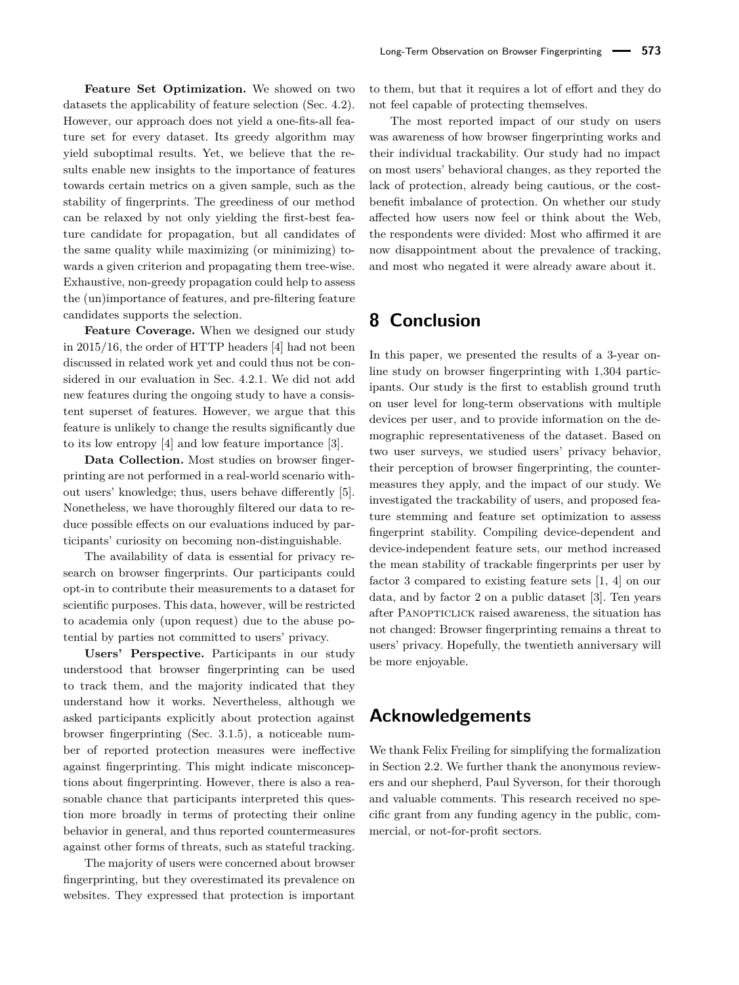**Feature Set Optimization.** We showed on two datasets the applicability of feature selection (Sec. [4.2\)](#page-7-2). However, our approach does not yield a one-fits-all feature set for every dataset. Its greedy algorithm may yield suboptimal results. Yet, we believe that the results enable new insights to the importance of features towards certain metrics on a given sample, such as the stability of fingerprints. The greediness of our method can be relaxed by not only yielding the first-best feature candidate for propagation, but all candidates of the same quality while maximizing (or minimizing) towards a given criterion and propagating them tree-wise. Exhaustive, non-greedy propagation could help to assess the (un)importance of features, and pre-filtering feature candidates supports the selection.

**Feature Coverage.** When we designed our study in 2015/16, the order of HTTP headers [\[4\]](#page-16-4) had not been discussed in related work yet and could thus not be considered in our evaluation in Sec. [4.2.1.](#page-7-3) We did not add new features during the ongoing study to have a consistent superset of features. However, we argue that this feature is unlikely to change the results significantly due to its low entropy [\[4\]](#page-16-4) and low feature importance [\[3\]](#page-16-3).

**Data Collection.** Most studies on browser fingerprinting are not performed in a real-world scenario without users' knowledge; thus, users behave differently [\[5\]](#page-16-10). Nonetheless, we have thoroughly filtered our data to reduce possible effects on our evaluations induced by participants' curiosity on becoming non-distinguishable.

The availability of data is essential for privacy research on browser fingerprints. Our participants could opt-in to contribute their measurements to a dataset for scientific purposes. This data, however, will be restricted to academia only (upon request) due to the abuse potential by parties not committed to users' privacy.

**Users' Perspective.** Participants in our study understood that browser fingerprinting can be used to track them, and the majority indicated that they understand how it works. Nevertheless, although we asked participants explicitly about protection against browser fingerprinting (Sec. [3.1.5\)](#page-5-0), a noticeable number of reported protection measures were ineffective against fingerprinting. This might indicate misconceptions about fingerprinting. However, there is also a reasonable chance that participants interpreted this question more broadly in terms of protecting their online behavior in general, and thus reported countermeasures against other forms of threats, such as stateful tracking.

The majority of users were concerned about browser fingerprinting, but they overestimated its prevalence on websites. They expressed that protection is important to them, but that it requires a lot of effort and they do not feel capable of protecting themselves.

The most reported impact of our study on users was awareness of how browser fingerprinting works and their individual trackability. Our study had no impact on most users' behavioral changes, as they reported the lack of protection, already being cautious, or the costbenefit imbalance of protection. On whether our study affected how users now feel or think about the Web, the respondents were divided: Most who affirmed it are now disappointment about the prevalence of tracking, and most who negated it were already aware about it.

# **8 Conclusion**

In this paper, we presented the results of a 3-year online study on browser fingerprinting with 1,304 participants. Our study is the first to establish ground truth on user level for long-term observations with multiple devices per user, and to provide information on the demographic representativeness of the dataset. Based on two user surveys, we studied users' privacy behavior, their perception of browser fingerprinting, the countermeasures they apply, and the impact of our study. We investigated the trackability of users, and proposed feature stemming and feature set optimization to assess fingerprint stability. Compiling device-dependent and device-independent feature sets, our method increased the mean stability of trackable fingerprints per user by factor 3 compared to existing feature sets [\[1,](#page-16-0) [4\]](#page-16-4) on our data, and by factor 2 on a public dataset [\[3\]](#page-16-3). Ten years after PANOPTICLICK raised awareness, the situation has not changed: Browser fingerprinting remains a threat to users' privacy. Hopefully, the twentieth anniversary will be more enjoyable.

# **Acknowledgements**

We thank Felix Freiling for simplifying the formalization in Section [2.2.](#page-2-0) We further thank the anonymous reviewers and our shepherd, Paul Syverson, for their thorough and valuable comments. This research received no specific grant from any funding agency in the public, commercial, or not-for-profit sectors.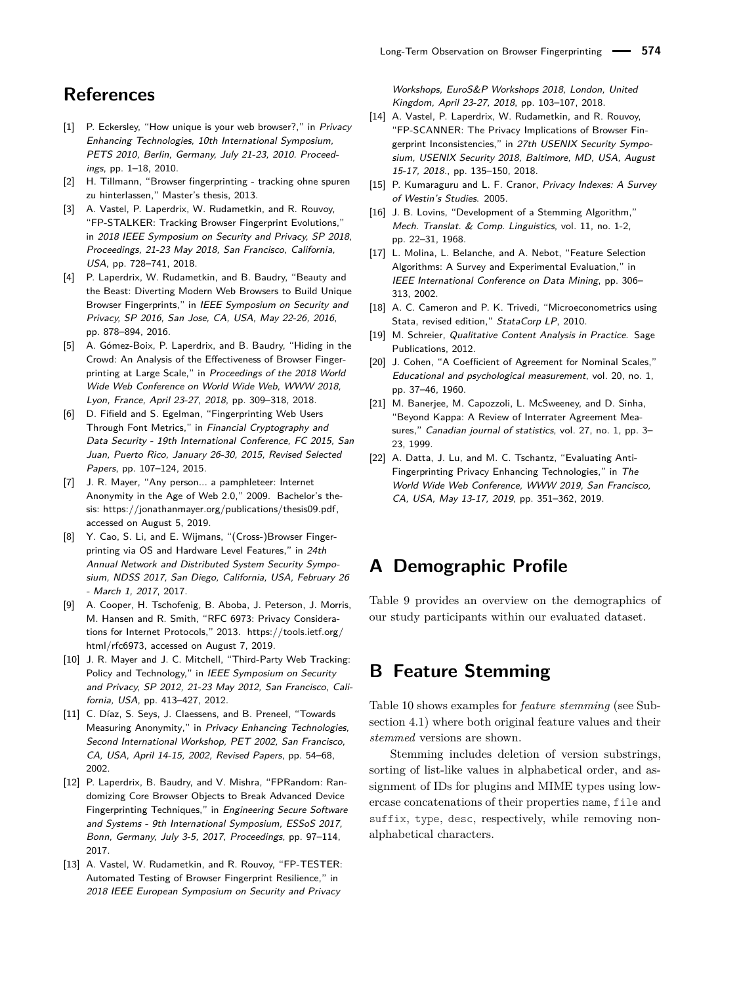# **References**

- <span id="page-16-0"></span>[1] P. Eckersley, "How unique is your web browser?," in Privacv Enhancing Technologies, 10th International Symposium, PETS 2010, Berlin, Germany, July 21-23, 2010. Proceedings, pp. 1–18, 2010.
- <span id="page-16-1"></span>[2] H. Tillmann, "Browser fingerprinting - tracking ohne spuren zu hinterlassen," Master's thesis, 2013.
- <span id="page-16-3"></span>[3] A. Vastel, P. Laperdrix, W. Rudametkin, and R. Rouvoy, "FP-STALKER: Tracking Browser Fingerprint Evolutions," in 2018 IEEE Symposium on Security and Privacy, SP 2018, Proceedings, 21-23 May 2018, San Francisco, California, USA, pp. 728–741, 2018.
- <span id="page-16-4"></span>[4] P. Laperdrix, W. Rudametkin, and B. Baudry, "Beauty and the Beast: Diverting Modern Web Browsers to Build Unique Browser Fingerprints," in IEEE Symposium on Security and Privacy, SP 2016, San Jose, CA, USA, May 22-26, 2016, pp. 878–894, 2016.
- <span id="page-16-10"></span>[5] A. Gómez-Boix, P. Laperdrix, and B. Baudry, "Hiding in the Crowd: An Analysis of the Effectiveness of Browser Fingerprinting at Large Scale," in Proceedings of the 2018 World Wide Web Conference on World Wide Web, WWW 2018, Lyon, France, April 23-27, 2018, pp. 309–318, 2018.
- <span id="page-16-2"></span>[6] D. Fifield and S. Egelman, "Fingerprinting Web Users Through Font Metrics," in Financial Cryptography and Data Security - 19th International Conference, FC 2015, San Juan, Puerto Rico, January 26-30, 2015, Revised Selected Papers, pp. 107–124, 2015.
- <span id="page-16-9"></span>[7] J. R. Mayer, "Any person... a pamphleteer: Internet Anonymity in the Age of Web 2.0," 2009. Bachelor's thesis: [https://jonathanmayer.org/publications/thesis09.pdf,](https://jonathanmayer.org/publications/thesis09.pdf) accessed on August 5, 2019.
- <span id="page-16-5"></span>[8] Y. Cao, S. Li, and E. Wijmans, "(Cross-)Browser Fingerprinting via OS and Hardware Level Features," in 24th Annual Network and Distributed System Security Symposium, NDSS 2017, San Diego, California, USA, February 26 - March 1, 2017, 2017.
- <span id="page-16-6"></span>[9] A. Cooper, H. Tschofenig, B. Aboba, J. Peterson, J. Morris, M. Hansen and R. Smith, "RFC 6973: Privacy Considerations for Internet Protocols," 2013. [https://tools.ietf.org/](https://tools.ietf.org/html/rfc6973) [html/rfc6973,](https://tools.ietf.org/html/rfc6973) accessed on August 7, 2019.
- <span id="page-16-7"></span>[10] J. R. Mayer and J. C. Mitchell, "Third-Party Web Tracking: Policy and Technology," in IEEE Symposium on Security and Privacy, SP 2012, 21-23 May 2012, San Francisco, California, USA, pp. 413–427, 2012.
- <span id="page-16-8"></span>[11] C. Díaz, S. Seys, J. Claessens, and B. Preneel, "Towards Measuring Anonymity," in Privacy Enhancing Technologies, Second International Workshop, PET 2002, San Francisco, CA, USA, April 14-15, 2002, Revised Papers, pp. 54–68, 2002.
- <span id="page-16-11"></span>[12] P. Laperdrix, B. Baudry, and V. Mishra, "FPRandom: Randomizing Core Browser Objects to Break Advanced Device Fingerprinting Techniques," in Engineering Secure Software and Systems - 9th International Symposium, ESSoS 2017, Bonn, Germany, July 3-5, 2017, Proceedings, pp. 97–114, 2017.
- <span id="page-16-12"></span>[13] A. Vastel, W. Rudametkin, and R. Rouvoy, "FP-TESTER: Automated Testing of Browser Fingerprint Resilience," in 2018 IEEE European Symposium on Security and Privacy

Workshops, EuroS&P Workshops 2018, London, United Kingdom, April 23-27, 2018, pp. 103–107, 2018.

- <span id="page-16-13"></span>[14] A. Vastel, P. Laperdrix, W. Rudametkin, and R. Rouvoy, "FP-SCANNER: The Privacy Implications of Browser Fingerprint Inconsistencies," in 27th USENIX Security Symposium, USENIX Security 2018, Baltimore, MD, USA, August 15-17, 2018., pp. 135–150, 2018.
- <span id="page-16-14"></span>[15] P. Kumaraguru and L. F. Cranor, Privacy Indexes: A Survey of Westin's Studies. 2005.
- <span id="page-16-16"></span>[16] J. B. Lovins, "Development of a Stemming Algorithm," Mech. Translat. & Comp. Linguistics, vol. 11, no. 1-2, pp. 22–31, 1968.
- <span id="page-16-18"></span>[17] L. Molina, L. Belanche, and A. Nebot, "Feature Selection Algorithms: A Survey and Experimental Evaluation," in IEEE International Conference on Data Mining, pp. 306– 313, 2002.
- <span id="page-16-19"></span>[18] A. C. Cameron and P. K. Trivedi, "Microeconometrics using Stata, revised edition," StataCorp LP, 2010.
- <span id="page-16-20"></span>[19] M. Schreier, Qualitative Content Analysis in Practice. Sage Publications, 2012.
- <span id="page-16-21"></span>[20] J. Cohen, "A Coefficient of Agreement for Nominal Scales," Educational and psychological measurement, vol. 20, no. 1, pp. 37–46, 1960.
- <span id="page-16-22"></span>[21] M. Banerjee, M. Capozzoli, L. McSweeney, and D. Sinha, "Beyond Kappa: A Review of Interrater Agreement Measures," Canadian journal of statistics, vol. 27, no. 1, pp. 3– 23, 1999.
- <span id="page-16-23"></span>[22] A. Datta, J. Lu, and M. C. Tschantz, "Evaluating Anti-Fingerprinting Privacy Enhancing Technologies," in The World Wide Web Conference, WWW 2019, San Francisco, CA, USA, May 13-17, 2019, pp. 351–362, 2019.

# <span id="page-16-15"></span>**A Demographic Profile**

[Table 9](#page-17-2) provides an overview on the demographics of our study participants within our evaluated dataset.

### <span id="page-16-17"></span>**B Feature Stemming**

[Table 10](#page-18-0) shows examples for *feature stemming* (see Subsection [4.1\)](#page-6-4) where both original feature values and their *stemmed* versions are shown.

Stemming includes deletion of version substrings, sorting of list-like values in alphabetical order, and assignment of IDs for plugins and MIME types using lowercase concatenations of their properties name, file and suffix, type, desc, respectively, while removing nonalphabetical characters.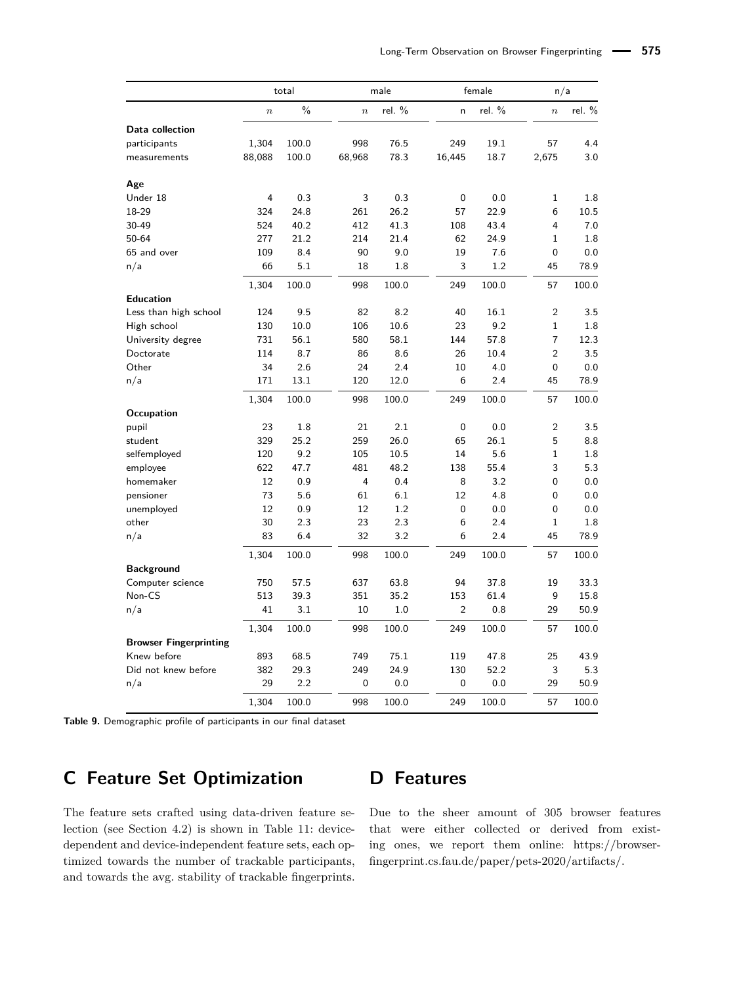<span id="page-17-2"></span>

|                               |                | total         |                | male     |                | female   | n/a              |          |
|-------------------------------|----------------|---------------|----------------|----------|----------------|----------|------------------|----------|
|                               | $\overline{n}$ | $\frac{0}{0}$ | $\overline{n}$ | rel. $%$ | 'n             | rel. $%$ | $\boldsymbol{n}$ | rel. $%$ |
| Data collection               |                |               |                |          |                |          |                  |          |
| participants                  | 1,304          | 100.0         | 998            | 76.5     | 249            | 19.1     | 57               | 4.4      |
| measurements                  | 88,088         | 100.0         | 68,968         | 78.3     | 16,445         | 18.7     | 2,675            | 3.0      |
| Age                           |                |               |                |          |                |          |                  |          |
| Under 18                      | 4              | 0.3           | 3              | 0.3      | 0              | 0.0      | 1                | 1.8      |
| 18-29                         | 324            | 24.8          | 261            | 26.2     | 57             | 22.9     | 6                | 10.5     |
| 30-49                         | 524            | 40.2          | 412            | 41.3     | 108            | 43.4     | 4                | 7.0      |
| 50-64                         | 277            | 21.2          | 214            | 21.4     | 62             | 24.9     | $\mathbf 1$      | 1.8      |
| 65 and over                   | 109            | 8.4           | 90             | 9.0      | 19             | 7.6      | $\mathbf 0$      | 0.0      |
| n/a                           | 66             | 5.1           | 18             | 1.8      | 3              | 1.2      | 45               | 78.9     |
|                               | 1,304          | 100.0         | 998            | 100.0    | 249            | 100.0    | 57               | 100.0    |
| <b>Education</b>              |                |               |                |          |                |          |                  |          |
| Less than high school         | 124            | 9.5           | 82             | 8.2      | 40             | 16.1     | $\overline{2}$   | 3.5      |
| High school                   | 130            | 10.0          | 106            | 10.6     | 23             | 9.2      | $\mathbf 1$      | 1.8      |
| University degree             | 731            | 56.1          | 580            | 58.1     | 144            | 57.8     | $\overline{7}$   | 12.3     |
| Doctorate                     | 114            | 8.7           | 86             | 8.6      | 26             | 10.4     | $\overline{2}$   | 3.5      |
| Other                         | 34             | 2.6           | 24             | 2.4      | 10             | 4.0      | 0                | 0.0      |
| n/a                           | 171            | 13.1          | 120            | 12.0     | 6              | 2.4      | 45               | 78.9     |
|                               | 1,304          | 100.0         | 998            | 100.0    | 249            | 100.0    | 57               | 100.0    |
| Occupation                    |                |               |                |          |                |          |                  |          |
| pupil                         | 23             | 1.8           | 21             | 2.1      | 0              | 0.0      | $\overline{2}$   | 3.5      |
| student                       | 329            | 25.2          | 259            | 26.0     | 65             | 26.1     | 5                | 8.8      |
| selfemployed                  | 120            | 9.2           | 105            | 10.5     | 14             | 5.6      | $\mathbf 1$      | 1.8      |
| employee                      | 622            | 47.7          | 481            | 48.2     | 138            | 55.4     | 3                | 5.3      |
| homemaker                     | 12             | 0.9           | 4              | 0.4      | 8              | 3.2      | $\mathbf 0$      | 0.0      |
| pensioner                     | 73             | 5.6           | 61             | 6.1      | 12             | 4.8      | 0                | 0.0      |
| unemployed                    | 12             | 0.9           | 12             | 1.2      | 0              | 0.0      | 0                | 0.0      |
| other                         | 30             | 2.3           | 23             | 2.3      | 6              | 2.4      | $\mathbf 1$      | 1.8      |
| n/a                           | 83             | 6.4           | 32             | 3.2      | 6              | 2.4      | 45               | 78.9     |
|                               | 1,304          | 100.0         | 998            | 100.0    | 249            | 100.0    | 57               | 100.0    |
| <b>Background</b>             |                |               |                |          |                |          |                  |          |
| Computer science              | 750            | 57.5          | 637            | 63.8     | 94             | 37.8     | 19               | 33.3     |
| Non-CS                        | 513            | 39.3          | 351            | 35.2     | 153            | 61.4     | 9                | 15.8     |
| n/a                           | 41             | 3.1           | 10             | 1.0      | $\overline{2}$ | 0.8      | 29               | 50.9     |
|                               | 1,304          | 100.0         | 998            | 100.0    | 249            | 100.0    | 57               | 100.0    |
| <b>Browser Fingerprinting</b> |                |               |                |          |                |          |                  |          |
| Knew before                   | 893            | 68.5          | 749            | 75.1     | 119            | 47.8     | 25               | 43.9     |
| Did not knew before           | 382            | 29.3          | 249            | 24.9     | 130            | 52.2     | 3                | 5.3      |
| n/a                           | 29             | 2.2           | 0              | 0.0      | 0              | 0.0      | 29               | 50.9     |
|                               | 1,304          | 100.0         | 998            | 100.0    | 249            | 100.0    | 57               | 100.0    |

**Table 9.** Demographic profile of participants in our final dataset

# <span id="page-17-1"></span>**C Feature Set Optimization**

# <span id="page-17-0"></span>**D Features**

The feature sets crafted using data-driven feature selection (see Section [4.2\)](#page-7-2) is shown in Table [11:](#page-19-1) devicedependent and device-independent feature sets, each optimized towards the number of trackable participants, and towards the avg. stability of trackable fingerprints.

Due to the sheer amount of 305 browser features that were either collected or derived from existing ones, we report them online: https://browserfingerprint.cs.fau.de/paper/pets-2020/artifacts/.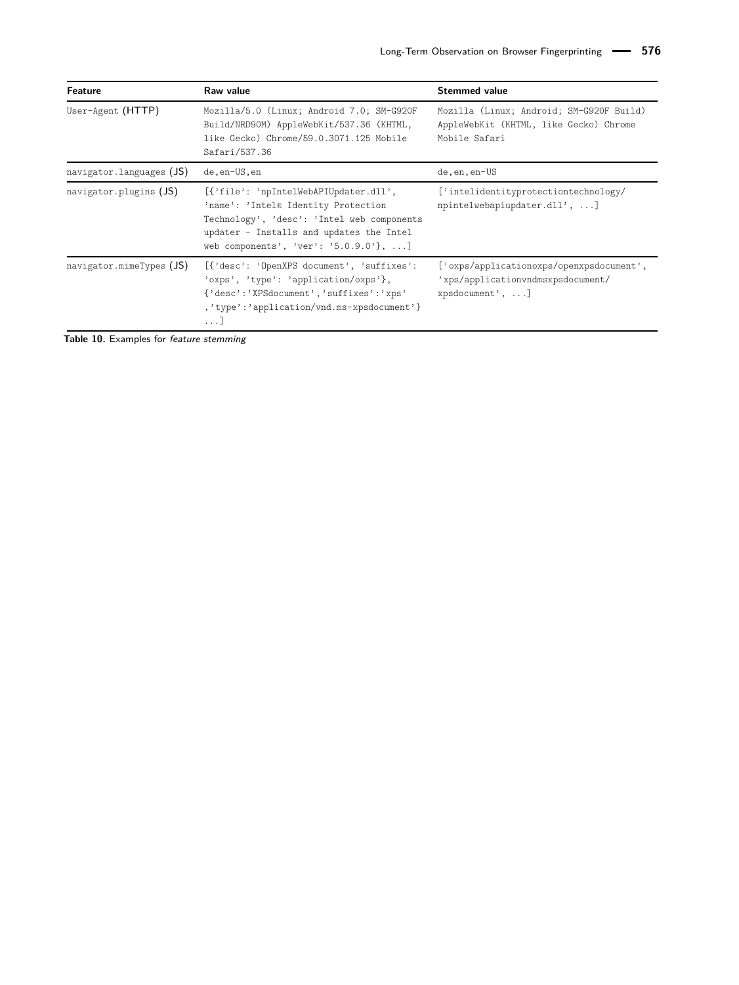<span id="page-18-0"></span>

| <b>Feature</b>                      | Raw value                                                                                                                                                                                                       | <b>Stemmed value</b>                                                                                |  |  |  |
|-------------------------------------|-----------------------------------------------------------------------------------------------------------------------------------------------------------------------------------------------------------------|-----------------------------------------------------------------------------------------------------|--|--|--|
| User-Agent (HTTP)                   | Mozilla/5.0 (Linux; Android 7.0; SM-G920F<br>Build/NRD90M) AppleWebKit/537.36 (KHTML,<br>like Gecko) Chrome/59.0.3071.125 Mobile<br>Safari/537.36                                                               | Mozilla (Linux; Android; SM-G920F Build)<br>AppleWebKit (KHTML, like Gecko) Chrome<br>Mobile Safari |  |  |  |
| navigator. languages $(JS)$         | de, en-US, en                                                                                                                                                                                                   | de, en, en-US                                                                                       |  |  |  |
| navigator. plugins $(JS)$           | [{'file': 'npIntelWebAPIUpdater.dll',<br>'name': 'Intel® Identity Protection<br>Technology', 'desc': 'Intel web components<br>updater - Installs and updates the Intel<br>web components', 'ver': '5.0.9.0'}, ] | ['intelidentityprotectiontechnology/<br>npintelwebapiupdater.dll', ]                                |  |  |  |
| $\alpha$ navigator.mimeTypes $(JS)$ | [{'desc': 'OpenXPS document', 'suffixes':<br>'oxps', 'type': 'application/oxps'},<br>{'desc':'XPSdocument','suffixes':'xps'<br>,'type':'application/vnd.ms-xpsdocument'}<br>. 1                                 | ['oxps/applicationoxps/openxpsdocument',<br>'xps/applicationvndmsxpsdocument/<br>xpsdocument', ]    |  |  |  |

**Table 10.** Examples for feature stemming